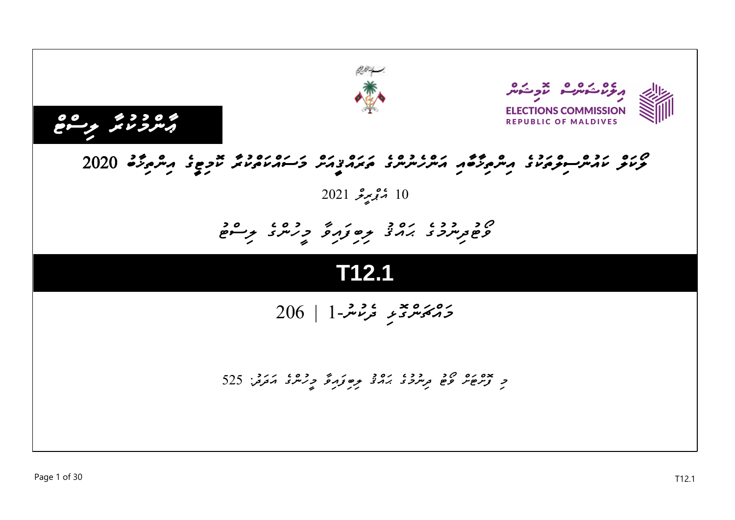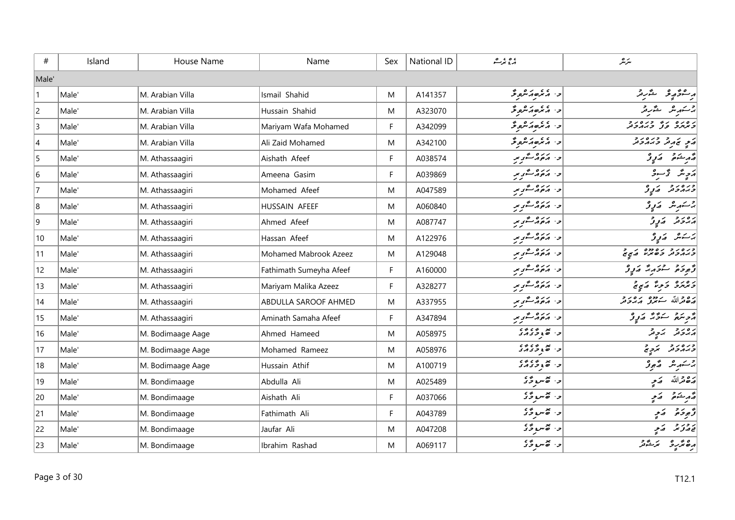| #               | Island | House Name        | Name                    | Sex | <b>National ID</b> | ، ه ، بر <u>م</u>                        | ىئرىتر                                   |
|-----------------|--------|-------------------|-------------------------|-----|--------------------|------------------------------------------|------------------------------------------|
| Male'           |        |                   |                         |     |                    |                                          |                                          |
|                 | Male'  | M. Arabian Villa  | Ismail Shahid           | M   | A141357            | د بمعجمة محيوثر                          | وستوكيو فستكرش                           |
| $\vert$ 2       | Male'  | M. Arabian Villa  | Hussain Shahid          | M   | A323070            | ر <i>، مگره</i> مگره گر                  | برسكور مشرقر                             |
| $\overline{3}$  | Male'  | M. Arabian Villa  | Mariyam Wafa Mohamed    | F   | A342099            | د بمعجمه مشروعٌ                          | נסנס נד כנסנב<br>כמחב פצ במחבת           |
| $\overline{4}$  | Male'  | M. Arabian Villa  | Ali Zaid Mohamed        | M   | A342100            | ر <i>، مگره</i> مگروگر                   | ה הוי הוי הי                             |
| 5               | Male'  | M. Athassaagiri   | Aishath Afeef           | F   | A038574            | - مەمۇرىسى<br>تەشقىدىن                   | أمام يشمش أماريا والمحمد                 |
| $\vert 6 \vert$ | Male'  | M. Athassaagiri   | Ameena Gasim            | F   | A039869            | - ريره په په په په په د                  | ړَ په توَ سرد                            |
| $\overline{7}$  | Male'  | M. Athassaagiri   | Mohamed Afeef           | M   | A047589            | د . د کاره شمېر مو                       | ورەر د دړو                               |
| $\overline{8}$  | Male'  | M. Athassaagiri   | HUSSAIN AFEEF           | M   | A060840            | د . د ده د کشی بر<br>د . د هوار کشی بر   | يزخير شروري                              |
| $ 9\rangle$     | Male'  | M. Athassaagiri   | Ahmed Afeef             | M   | A087747            | $5 - 20 - 7$                             | أرور و أروق                              |
| $ 10\rangle$    | Male'  | M. Athassaagiri   | Hassan Afeef            | M   | A122976            | $75 - 251 - 3$                           | تاسكانلار الأويافى                       |
| 11              | Male'  | M. Athassaagiri   | Mohamed Mabrook Azeez   | M   | A129048            | د . د کاه د شکویمه<br>د . د کاه د شکویم  | כנסגב גסמם ג'ץ ב<br>בג'אבט, כסיגיו ה'קָץ |
| 12              | Male'  | M. Athassaagiri   | Fathimath Sumeyha Afeef | F   | A160000            | د . د ده د کلی بر<br>د . د ور کلی بر     | ژوده خوړته ټړو                           |
| 13              | Male'  | M. Athassaagiri   | Mariyam Malika Azeez    | F   | A328277            | $75 - 251 - 7$                           | במתכ בבי השב                             |
| 14              | Male'  | M. Athassaagiri   | ABDULLA SAROOF AHMED    | M   | A337955            | د . د ده د کشی مر<br>د . د هوار کشی مر   | ره والله سوده بره برد                    |
| 15              | Male'  | M. Athassaagiri   | Aminath Samaha Afeef    | F   | A347894            | د . د ه ه د مشي بر<br>د . د ه ه د مشي بر | גُوسَيْ سَوَيْ دَرِوْ                    |
| 16              | Male'  | M. Bodimaage Aage | Ahmed Hameed            | M   | A058975            | 51555000                                 | أرور والمحافظ                            |
| 17              | Male'  | M. Bodimaage Aage | Mohamed Rameez          | M   | A058976            | 5155500                                  | ورەرو پردو                               |
| 18              | Male'  | M. Bodimaage Aage | Hussain Athif           | M   | A100719            | 5955507                                  | جاسكهر شرقه ومحبور                       |
| 19              | Male'  | M. Bondimaage     | Abdulla Ali             | M   | A025489            | د . ځېږد د ؟                             | پر ۱۳۵۵ پر پر                            |
| 20              | Male'  | M. Bondimaage     | Aishath Ali             | F   | A037066            | د . ځېږد د ؟                             | مەر خىتى كەنچ                            |
| 21              | Male'  | M. Bondimaage     | Fathimath Ali           | F   | A043789            | د په موځ                                 | وٌجوحَ حو<br>ەتىر                        |
| 22              | Male'  | M. Bondimaage     | Jaufar Ali              | M   | A047208            | د . ځېږد د د                             | يے پر تر کر پر کر پر                     |
| 23              | Male'  | M. Bondimaage     | Ibrahim Rashad          | M   | A069117            | د په موځ                                 | رەنزىر ئىشتر                             |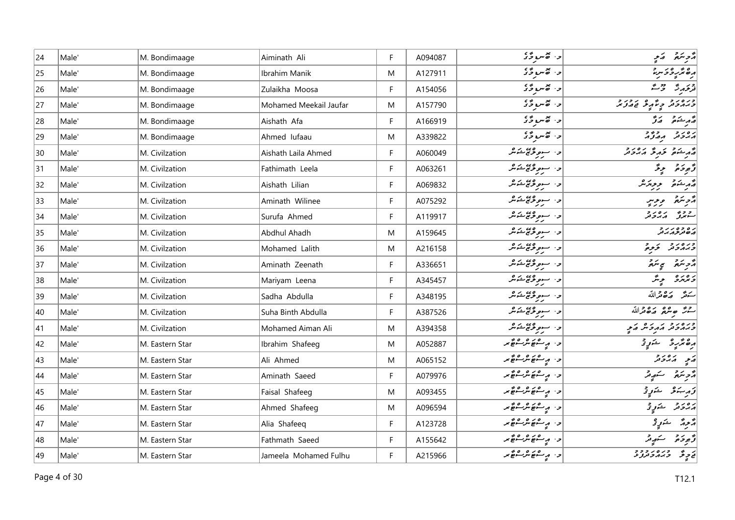| 24 | Male' | M. Bondimaage   | Aiminath Ali           | F | A094087 | ل سي مسمود محمد المسيحة التي تحتي                                                                    | أزوينهم أتذمج                                |
|----|-------|-----------------|------------------------|---|---------|------------------------------------------------------------------------------------------------------|----------------------------------------------|
| 25 | Male' | M. Bondimaage   | Ibrahim Manik          | M | A127911 | بر سمج سره دی.<br>و ۱۰ تقسیم و دی                                                                    | رە ئەر دى ئىرىد<br>بەھ ئەر دى ئىرىد          |
| 26 | Male' | M. Bondimaage   | Zulaikha Moosa         | F | A154056 | ل سي محسوب محمد من المجموعة التي تعليم المجموعة التي تعليم المجموعة التي تعليم التي تعليم المجموعة ا | ڈیورڈ ڈے                                     |
| 27 | Male' | M. Bondimaage   | Mohamed Meekail Jaufar | M | A157790 | وستضمون ومي                                                                                          | כנסנק קווקל שונד                             |
| 28 | Male' | M. Bondimaage   | Aishath Afa            | F | A166919 | د به مهمور <sup>ی</sup>                                                                              | أمار منتوج أمائي                             |
| 29 | Male' | M. Bondimaage   | Ahmed lufaau           | M | A339822 | وسيحسرون                                                                                             | גפני הביב                                    |
| 30 | Male' | M. Civilzation  | Aishath Laila Ahmed    | F | A060049 |                                                                                                      | أقهر ينكفى تحمر قائم والمرد                  |
| 31 | Male' | M. Civilzation  | Fathimath Leela        | F | A063261 |                                                                                                      | وَّجِودَهُ مِيمَّ                            |
| 32 | Male' | M. Civilzation  | Aishath Lilian         | F | A069832 | و· سوە ۋىچ شەشر                                                                                      | ومنعفي وومرش                                 |
| 33 | Male' | M. Civilzation  | Aminath Wilinee        | F | A075292 | <sub>ج</sub> . سوه دمچ شکر مګر<br> - مرکز                                                            | أثرمتم ومرسر                                 |
| 34 | Male' | M. Civilzation  | Surufa Ahmed           | F | A119917 | <sub>ج</sub> . سوە ۋىچ شەمگە<br> - سرىر شىمىسى                                                       | رووه برەرو                                   |
| 35 | Male' | M. Civilzation  | Abdhul Ahadh           | M | A159645 |                                                                                                      | ر ه د ه ر ر د<br>پره تر پر تر                |
| 36 | Male' | M. Civilzation  | Mohamed Lalith         | M | A216158 | ى سوەپچە ئەھەتتە بىر<br>سىرىر                                                                        | ورەر و دۇھ                                   |
| 37 | Male' | M. Civilzation  | Aminath Zeenath        | F | A336651 | لى سوەمىي ئەدەر<br>سىسىرىرى                                                                          | أأرمز المستمر                                |
| 38 | Male' | M. Civilzation  | Mariyam Leena          | F | A345457 | ى سوە ۋە ئەيدۇر.<br>————————————————————                                                             | د ۱۵ د ه<br>  د بر بر د بر بر                |
| 39 | Male' | M. Civilzation  | Sadha Abdulla          | F | A348195 |                                                                                                      | سكقر وكافد الله                              |
| 40 | Male' | M. Civilzation  | Suha Binth Abdulla     | F | A387526 | و· سود دی شرکتر<br> د· سود دی                                                                        | حشر ومقر وكالله                              |
| 41 | Male' | M. Civilzation  | Mohamed Aiman Ali      | M | A394358 | <sub>ج</sub> . سوە ۋىچ شەمگە<br> -                                                                   | בגם גב התבית הב                              |
| 42 | Male' | M. Eastern Star | Ibrahim Shafeeq        | M | A052887 | و. روح مرد و د                                                                                       |                                              |
| 43 | Male' | M. Eastern Star | Ali Ahmed              | M | A065152 | و . پر شو شر شو هم مر                                                                                | أيمو مدونه                                   |
| 44 | Male' | M. Eastern Star | Aminath Saeed          | F | A079976 | و٠ رو دع مرده ع مر                                                                                   | أأزجر سكرور المسكرور                         |
| 45 | Male' | M. Eastern Star | Faisal Shafeeg         | M | A093455 | و٠ ڔ سوءَ مرسوءَ پر                                                                                  | أقارب يحو التكافي في                         |
| 46 | Male' | M. Eastern Star | Ahmed Shafeeg          | M | A096594 | و٠ ، ، ، سوءَ مرت ، ، ، ،                                                                            | پره پر پر ستور پر                            |
| 47 | Male' | M. Eastern Star | Alia Shafeeq           | F | A123728 | ر . پر شوی تر شوی پر                                                                                 | أأروأ التكفي                                 |
| 48 | Male' | M. Eastern Star | Fathmath Saeed         | F | A155642 | و٠ ، ، ، سوءَ مرت ، ، ، ،                                                                            | أو محرم من المحمد وتر                        |
| 49 | Male' | M. Eastern Star | Jameela Mohamed Fulhu  | F | A215966 | ى بەر قەنمى ئەھمىر                                                                                   | ار و در و د و د و د<br>انج و پخ د بر د برو د |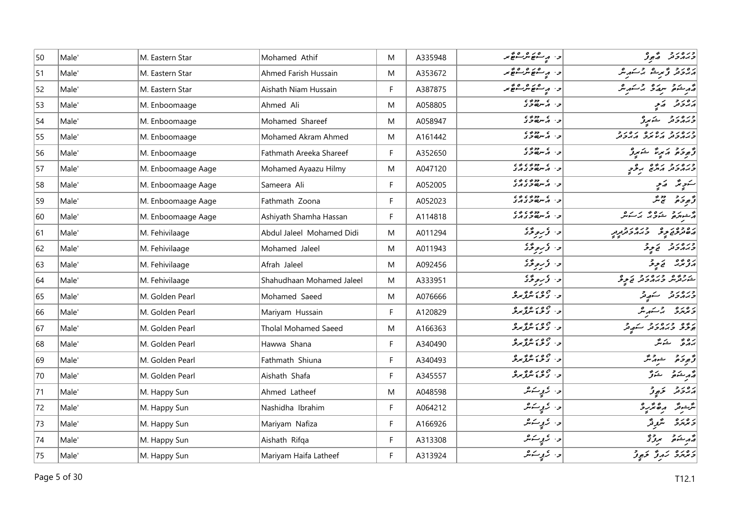| 50 | Male' | M. Eastern Star    | Mohamed Athif               | M           | A335948 | و٠ رو ده و ده و مح                                                                            | وره د و و                                                   |
|----|-------|--------------------|-----------------------------|-------------|---------|-----------------------------------------------------------------------------------------------|-------------------------------------------------------------|
| 51 | Male' | M. Eastern Star    | Ahmed Farish Hussain        | M           | A353672 | ى بەر قەتتىر شەھىر                                                                            | رەرد ۋىرىش رىس ھ                                            |
| 52 | Male' | M. Eastern Star    | Aishath Niam Hussain        | F           | A387875 | و. بر عضم شرح تع<br> و. بر حضم شرح تع                                                         | مەم ئىكى سەك باسكىرىك                                       |
| 53 | Male' | M. Enboomaage      | Ahmed Ali                   | M           | A058805 | י ה"קידי בי                                                                                   | أرور و كم ي                                                 |
| 54 | Male' | M. Enboomaage      | Mohamed Shareef             | M           | A058947 | ם - היידי בי<br>המ"ק היידי בי                                                                 | ورەر د شەرۋ<br><i>פە</i> مەد تەر                            |
| 55 | Male' | M. Enboomaage      | Mohamed Akram Ahmed         | M           | A161442 | ם - היידי בי<br>המ"ק היידי בי                                                                 | כנסג כ גסגם גםגב<br><mark>כ</mark> גמכת משי <i>צ</i> כ מגכת |
| 56 | Male' | M. Enboomaage      | Fathmath Areeka Shareef     | F           | A352650 | ם - היידיש<br>כ- ה"ישיפיב                                                                     | ژوده نېرتا خېر                                              |
| 57 | Male' | M. Enboomaage Aage | Mohamed Ayaazu Hilmy        | M           | A047120 | $\frac{c}{s}$ , $\frac{c}{s}$ , $\frac{c}{s}$ , $\frac{c}{s}$ , $\frac{c}{s}$ , $\frac{c}{s}$ | כנסגב גם הכב                                                |
| 58 | Male' | M. Enboomaage Aage | Sameera Ali                 | F           | A052005 | $\frac{c}{s}$ , $\frac{c}{s}$ , $\frac{c}{s}$ , $\frac{c}{s}$ , $\frac{c}{s}$ , $\frac{c}{s}$ | سنجابتم الأمج                                               |
| 59 | Male' | M. Enboomaage Aage | Fathmath Zoona              | F           | A052023 | ه د ده در ده<br>د ۰ که سره د د د                                                              | و ده ده پ                                                   |
| 60 | Male' | M. Enboomaage Aage | Ashiyath Shamha Hassan      | F           | A114818 | $\frac{c}{s}$ , $\frac{c}{s}$ , $\frac{c}{s}$ , $\frac{c}{s}$                                 | ۇ ھەردە ھەۋە ئەسكىل                                         |
| 61 | Male' | M. Fehivilaage     | Abdul Jaleel Mohamed Didi   | M           | A011294 | ە بۇرەۋۇ                                                                                      |                                                             |
| 62 | Male' | M. Fehivilaage     | Mohamed Jaleel              | M           | A011943 | و· ۇروۋۇ                                                                                      | ورەر ئەرۇ                                                   |
| 63 | Male' | M. Fehivilaage     | Afrah Jaleel                | M           | A092456 | و· ڈروڈڈ                                                                                      | پره پره په پی پر ژ                                          |
| 64 | Male' | M. Fehivilaage     | Shahudhaan Mohamed Jaleel   | M           | A333951 | ه . د کره د د ؟                                                                               | شروره وره رو ته وی                                          |
| 65 | Male' | M. Golden Pearl    | Mohamed Saeed               | M           | A076666 | ە بەھ بەھ بەھ بەھ<br>جەسمى قەسمە تەسمە بىر                                                    | وره رو در د                                                 |
| 66 | Male' | M. Golden Pearl    | Mariyam Hussain             | F           | A120829 | ە دەرە ئەرەپەر<br>جەزىخى: ئىرگەنلەپم                                                          | دەرە ئەسكەش                                                 |
| 67 | Male' | M. Golden Pearl    | <b>Tholal Mohamed Saeed</b> | M           | A166363 | ە دەرە ئەرەپەر<br>جەزىخى: ئىرگەنلەپم                                                          | ر وه دره د د در د<br>جوړه د بروتر سوړتر                     |
| 68 | Male' | M. Golden Pearl    | Hawwa Shana                 | F.          | A340490 | ە دەرەپەرە<br>دې دىمى ئىرگەندى                                                                | برە ئە ئىش                                                  |
| 69 | Male' | M. Golden Pearl    | Fathmath Shiuna             | F           | A340493 | ە بەھ بەھ بەھ<br>جەسمى ئەسمەتى بىرى                                                           | أرتموخو المسرمانير                                          |
| 70 | Male' | M. Golden Pearl    | Aishath Shafa               | F           | A345557 | ە دەرەپەر<br>دې دىمى سرگەيمى                                                                  | و د شو د شوگر                                               |
| 71 | Male' | M. Happy Sun       | Ahmed Latheef               | M           | A048598 | د. ژړينه ش                                                                                    | پروتر توپوژ                                                 |
| 72 | Male' | M. Happy Sun       | Nashidha Ibrahim            | F           | A064212 | و. ژوپر ټر کر                                                                                 | شرشوش وكالمربرة                                             |
| 73 | Male' | M. Happy Sun       | Mariyam Nafiza              | F           | A166926 | <sub>و</sub> . ژ <sub>ب</sub> ویسکنگر                                                         | ر ه ر ه<br><del>و</del> بربرو<br>سٌمَعِ فَدَّ               |
| 74 | Male' | M. Happy Sun       | Aishath Rifga               | $\mathsf F$ | A313308 | <sub>و</sub> . ژ <sub>وپ</sub> ر کر                                                           | د در شکور مرکز د<br>مرد شکور مرکز د                         |
| 75 | Male' | M. Happy Sun       | Mariyam Haifa Latheef       | F           | A313924 | <sub>و</sub> . ژ <sub>وپ</sub> ر کر                                                           | دورو رَرِڙُ نَہوڙ                                           |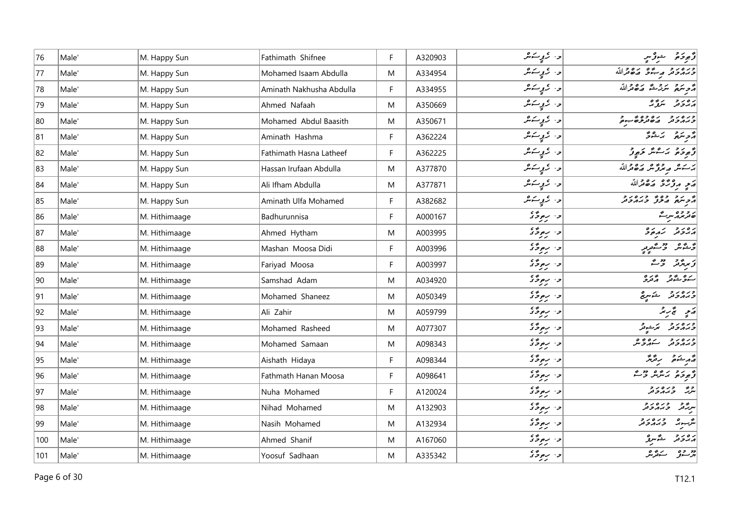| 76  | Male' | M. Happy Sun  | Fathimath Shifnee        | F           | A320903 | د. ژوپسکنگر                                          | و دره<br>گهجرده شوگس                         |
|-----|-------|---------------|--------------------------|-------------|---------|------------------------------------------------------|----------------------------------------------|
| 77  | Male' | M. Happy Sun  | Mohamed Isaam Abdulla    | ${\sf M}$   | A334954 | و. ئەربىكىگە                                         | ورەرو مەدە كەھىراللە                         |
| 78  | Male' | M. Happy Sun  | Aminath Nakhusha Abdulla | F           | A334955 | $\left  \begin{array}{cc} c & c \end{array} \right $ | أُمَّحِ سَمَعَ سَرَبْتُ مَصَّرَّاللَّهُ      |
| 79  | Male' | M. Happy Sun  | Ahmed Nafaah             | M           | A350669 | د. ژوپىدىش                                           | ره رو روه                                    |
| 80  | Male' | M. Happy Sun  | Mohamed Abdul Baasith    | M           | A350671 | و. ژړېندگ                                            | 2000 - 2000 - 2<br>2000 - 2000 - 2000 - 2000 |
| 81  | Male' | M. Happy Sun  | Aminath Hashma           | $\mathsf F$ | A362224 | و. ژوپەتلە                                           | أأوسكم أراء ومح                              |
| 82  | Male' | M. Happy Sun  | Fathimath Hasna Latheef  | F           | A362225 | د. ژوپسکنگر                                          | تو و د د د شر شهر تو و د                     |
| 83  | Male' | M. Happy Sun  | Hassan Irufaan Abdulla   | ${\sf M}$   | A377870 | و. ژوپىكىلە                                          | برسة مر بروم بره قرالله                      |
| 84  | Male' | M. Happy Sun  | Ali Ifham Abdulla        | ${\sf M}$   | A377871 | و. ئەربەتىگە                                         | أرسم وموترد اره فرالله                       |
| 85  | Male' | M. Happy Sun  | Aminath Ulfa Mohamed     | F           | A382682 | د . د <sub>و</sub> ړيده                              | أثر شرو ووه ورورو                            |
| 86  | Male' | M. Hithimaage | Badhurunnisa             | F           | A000167 | ه روژه<br>د روژه                                     | <br>  ئەترىر برىرىسى                         |
| 87  | Male' | M. Hithimaage | Ahmed Hytham             | ${\sf M}$   | A003995 | 5580.5                                               | גפגב גרפ                                     |
| 88  | Male' | M. Hithimaage | Mashan Moosa Didi        | $\mathsf F$ | A003996 | و . ر <sub>یم</sub> وژه<br>ر                         | و شهر در محر شهر مربع<br>محمد محر            |
| 89  | Male' | M. Hithimaage | Fariyad Moosa            | $\mathsf F$ | A003997 | $rac{1}{5550}$                                       | تو پروگر واقع                                |
| 90  | Male' | M. Hithimaage | Samshad Adam             | ${\sf M}$   | A034920 | و .<br>و . ره و د                                    | ے وی پر ور                                   |
| 91  | Male' | M. Hithimaage | Mohamed Shaneez          | ${\sf M}$   | A050349 | و . ر <sub>مو</sub> ود<br>ر                          | ورەرو شەرە                                   |
| 92  | Male' | M. Hithimaage | Ali Zahir                | ${\sf M}$   | A059799 | و٠ روود<br>و٠ روود                                   | أەسم يخ سرچر                                 |
| 93  | Male' | M. Hithimaage | Mohamed Rasheed          | M           | A077307 | ه . ر <sub>وڅ</sub> ن                                |                                              |
| 94  | Male' | M. Hithimaage | Mohamed Samaan           | M           | A098343 | $rac{c}{s}$                                          | ورەرو رەۋە                                   |
| 95  | Male' | M. Hithimaage | Aishath Hidaya           | F           | A098344 | ه . ر <sub>وڅ</sub> ن                                | أقرم شكوته المتفرقر                          |
| 96  | Male' | M. Hithimaage | Fathmath Hanan Moosa     | F           | A098641 | و .<br>و . ره و د د                                  | تو برو برنورو دونو                           |
| 97  | Male' | M. Hithimaage | Nuha Mohamed             | $\mathsf F$ | A120024 | او روده<br>او روده                                   | پژو د دره د د                                |
| 98  | Male' | M. Hithimaage | Nihad Mohamed            | ${\sf M}$   | A132903 | و . ر <sub>و</sub> ود<br>د .                         | سرجو وره دو                                  |
| 99  | Male' | M. Hithimaage | Nasih Mohamed            | M           | A132934 | او، رەدى<br>سىمە                                     | پژسور وره دو                                 |
| 100 | Male' | M. Hithimaage | Ahmed Shanif             | M           | A167060 | و٠ روود.<br>د                                        | رەرو شەر                                     |
| 101 | Male' | M. Hithimaage | Yoosuf Sadhaan           | ${\sf M}$   | A335342 | $rac{1}{5550}$                                       | دو ده سه کندگر مک                            |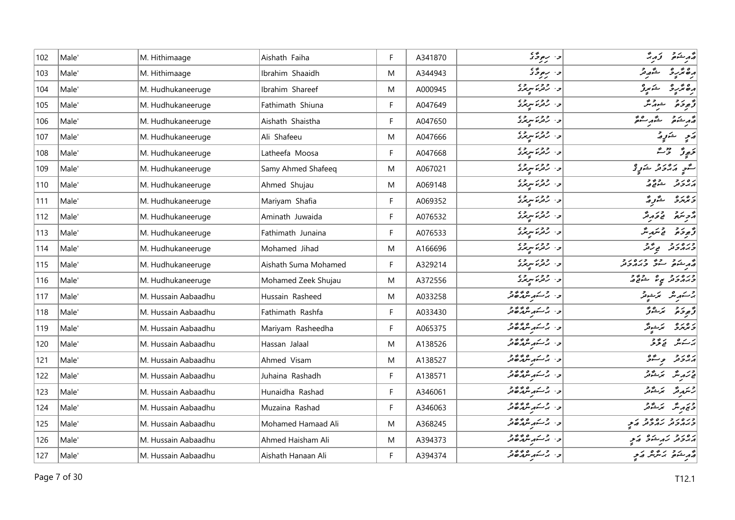| 102 | Male' | M. Hithimaage       | Aishath Faiha        | F  | A341870 | و . ره ود د<br>د . ره ود د                 | أقهر يشتفى توريد                                                                                           |
|-----|-------|---------------------|----------------------|----|---------|--------------------------------------------|------------------------------------------------------------------------------------------------------------|
| 103 | Male' | M. Hithimaage       | Ibrahim Shaaidh      | M  | A344943 | او .<br>او . روود                          | ە ھەترىرى<br>برھ ترىرى                                                                                     |
| 104 | Male' | M. Hudhukaneeruge   | Ibrahim Shareef      | M  | A000945 | د . رژو <i>ړ سربر</i> د                    | ە ھەترىرى<br>برھەترىرى<br>ے موثر                                                                           |
| 105 | Male' | M. Hudhukaneeruge   | Fathimath Shiuna     | F  | A047649 | د به روم سرچري<br>  د به روم سرچري         | ۇ بوزىر<br>$\overline{\mathcal{Z}}_{\mathcal{A}}^{\mathcal{Z}}$                                            |
| 106 | Male' | M. Hudhukaneeruge   | Aishath Shaistha     | F  | A047650 | د . ژو <i>رنامبرچ</i> ر                    | شەھرىسىتىم<br>د مرکز د<br>مرکز مشوی                                                                        |
| 107 | Male' | M. Hudhukaneeruge   | Ali Shafeeu          | M  | A047666 | د ۱۶۶۷ مربردی<br>د کنرما مربرد             | ړې خوږ                                                                                                     |
| 108 | Male' | M. Hudhukaneeruge   | Latheefa Moosa       | F  | A047668 | د . گەنگە ئېرىگە كە                        | دين مشر<br>نز <sub>چو</sub> ڙ                                                                              |
| 109 | Male' | M. Hudhukaneeruge   | Samy Ahmed Shafeeq   | M  | A067021 | د ۱۶۶۶ مریزه<br>د روزنامپر <i>یز</i> ه     | أكسي أوردو المكرافي                                                                                        |
| 110 | Male' | M. Hudhukaneeruge   | Ahmed Shujau         | M  | A069148 | د . رقمه توپردي<br>د . رقمه توپردي         | ره رح در در<br>پرېدر تر شويځ پر                                                                            |
| 111 | Male' | M. Hudhukaneeruge   | Mariyam Shafia       | F  | A069352 | د . ر <i>وړ موبر</i> و .<br>م              | ر ه بر ه<br><del>د</del> بربرگر<br>ستگورگ                                                                  |
| 112 | Male' | M. Hudhukaneeruge   | Aminath Juwaida      | F  | A076532 | د به روز سرچر <sub>و</sub> م               | مەمەمىق يىق مەم                                                                                            |
| 113 | Male' | M. Hudhukaneeruge   | Fathimath Junaina    | F  | A076533 | د . ژو <i>رنامبرچ</i> ر                    | تزودخوا فيتمرش                                                                                             |
| 114 | Male' | M. Hudhukaneeruge   | Mohamed Jihad        | M  | A166696 | د ۱۵۶۷ مربردی<br>د کنرما موبرد             | ورەر د يېگىر                                                                                               |
| 115 | Male' | M. Hudhukaneeruge   | Aishath Suma Mohamed | F  | A329214 | د ۱۶۶۶ مربر د م                            | د دره در در در در در د                                                                                     |
| 116 | Male' | M. Hudhukaneeruge   | Mohamed Zeek Shujau  | M  | A372556 | د ۱ رگ <i>ورهٔ موبرد</i> گی                | ورەرو پە شوق                                                                                               |
| 117 | Male' | M. Hussain Aabaadhu | Hussain Rasheed      | M  | A033258 | و. بر شور مورد کار                         | 2سكىرىش ئىزىسىڭ                                                                                            |
| 118 | Male' | M. Hussain Aabaadhu | Fathimath Rashfa     | F. | A033430 | د . بر مسر مردم در د                       | و المع المحمد المحمد المحمد المحمد المحمد و المحمد المحمد المحمد المحمد المحمد المحمد المحمد المحمد المحمد |
| 119 | Male' | M. Hussain Aabaadhu | Mariyam Rasheedha    | F  | A065375 | د . بر کرم شرکت در<br>م                    | دیرو ترجوتر                                                                                                |
| 120 | Male' | M. Hussain Aabaadhu | Hassan Jalaal        | M  | A138526 | و. بر شور موره تو                          | ىز سەش بۇ ئۇ ئو                                                                                            |
| 121 | Male' | M. Hussain Aabaadhu | Ahmed Visam          | M  | A138527 | و. بر شور مورد در                          | دەرو بەشى                                                                                                  |
| 122 | Male' | M. Hussain Aabaadhu | Juhaina Rashadh      | F  | A138571 | د . بر مسکو شوره تر<br>مسلم مسلم مسلم مسلم | التي <i>تر مر مر ش</i> كر تركيبر<br>التي تركيبر                                                            |
| 123 | Male' | M. Hussain Aabaadhu | Hunaidha Rashad      | F  | A346061 | و بر شور شرم کار                           | رسمونڈ سمشم                                                                                                |
| 124 | Male' | M. Hussain Aabaadhu | Muzaina Rashad       | F  | A346063 | د . بر مسر مردم در د                       | ويجدير بمشعر                                                                                               |
| 125 | Male' | M. Hussain Aabaadhu | Mohamed Hamaad Ali   | M  | A368245 | و بر شهر شرم ده تر                         | وره رو ره دو د کرم                                                                                         |
| 126 | Male' | M. Hussain Aabaadhu | Ahmed Haisham Ali    | M  | A394373 | د . بر کرم شرکت در ا                       | ړه د د که څکو کم                                                                                           |
| 127 | Male' | M. Hussain Aabaadhu | Aishath Hanaan Ali   | F. | A394374 | و. بر شور مورد کار                         | أقهر شوقه برنترنتر المرمج                                                                                  |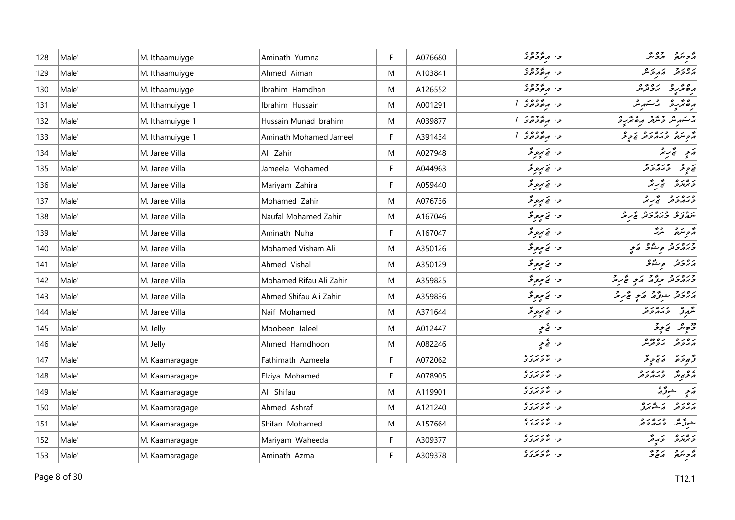| 128 | Male' | M. Ithaamuiyge  | Aminath Yumna           | F  | A076680 |                                | أأدمر ومعتمر                                           |
|-----|-------|-----------------|-------------------------|----|---------|--------------------------------|--------------------------------------------------------|
| 129 | Male' | M. Ithaamuiyge  | Ahmed Aiman             | M  | A103841 | و . مه څوه وي<br>و . مه څوه وي | המכנה התכית                                            |
| 130 | Male' | M. Ithaamuiyge  | Ibrahim Hamdhan         | M  | A126552 | و٠ مۇدە ئ                      | ر ه و تر تر<br>ەھ ئۈر ۋ                                |
| 131 | Male' | M. Ithamuiyge 1 | Ibrahim Hussain         | M  | A001291 | 15000000                       | رەنزىر ئەسىر                                           |
| 132 | Male' | M. Ithamuiyge 1 | Hussain Munad Ibrahim   | M  | A039877 | $15000 - 5$                    | ير شهر شهر ده پر ده و                                  |
| 133 | Male' | M. Ithamuiyge 1 | Aminath Mohamed Jameel  | F  | A391434 | 150000000                      | הכיתם כמחכת בכל                                        |
| 134 | Male' | M. Jaree Villa  | Ali Zahir               | M  | A027948 | و· في مره گ                    | $\begin{bmatrix} 2 & 2 & 2 \\ 2 & 2 & 2 \end{bmatrix}$ |
| 135 | Male' | M. Jaree Villa  | Jameela Mohamed         | F  | A044963 | و· في مره گ                    | تح و حده د د                                           |
| 136 | Male' | M. Jaree Villa  | Mariyam Zahira          | F. | A059440 | و· ق <sub>ے موجو</sub> مگ      | د ۱۵ د مخ رنگ                                          |
| 137 | Male' | M. Jaree Villa  | Mohamed Zahir           | M  | A076736 | و· ق <sub>ے موجو</sub> مگ      | ورەرو ئېرىز                                            |
| 138 | Male' | M. Jaree Villa  | Naufal Mohamed Zahir    | M  | A167046 | وستج موجونژ                    | נכנים כנסנים הבניה                                     |
| 139 | Male' | M. Jaree Villa  | Aminath Nuha            | F  | A167047 | وستج مرٍ موتمّ                 | أأدوسه المراثر                                         |
| 140 | Male' | M. Jaree Villa  | Mohamed Visham Ali      | M  | A350126 | و· في مره و گ                  | ورەرو مەشى كەي                                         |
| 141 | Male' | M. Jaree Villa  | Ahmed Vishal            | M  | A350129 | و· في مره و گ                  | أرەر و مەمۇر                                           |
| 142 | Male' | M. Jaree Villa  | Mohamed Rifau Ali Zahir | M  | A359825 | و· في مره محّ                  | ورەرو برؤة كمي تجربة                                   |
| 143 | Male' | M. Jaree Villa  | Ahmed Shifau Ali Zahir  | M  | A359836 | و· ئ <sub>ے موجو</sub> محہ     | رەرو جوڙھ ھو جريز                                      |
| 144 | Male' | M. Jaree Villa  | Naif Mohamed            | M  | A371644 | و· في مرِهِ مُحْ               | شمرز دره در                                            |
| 145 | Male' | M. Jelly        | Moobeen Jaleel          | M  | A012447 | والمحكم محي                    | وصر في ولا                                             |
| 146 | Male' | M. Jelly        | Ahmed Hamdhoon          | M  | A082246 | والمحكمي                       | رەر دەپىرە<br>مەدىر بەرىرىر                            |
| 147 | Male' | M. Kaamaragage  | Fathimath Azmeela       | F  | A072062 | و . عور در .<br>و . ماونتری ی  | توجوختم المتماحي                                       |
| 148 | Male' | M. Kaamaragage  | Elziya Mohamed          | F  | A078905 | و . عور در .<br>و . ماونتری ی  | 2010 - 2010<br>הב <sub>ו</sub> ת בהחבת                 |
| 149 | Male' | M. Kaamaragage  | Ali Shifau              | M  | A119901 |                                | أوكمني المشوقرة                                        |
| 150 | Male' | M. Kaamaragage  | Ahmed Ashraf            | M  | A121240 | و . شو بر ر ،<br>و . شو برو د  | ره رو بر ۱۵ ره<br>م.پروتر بر شهرتی                     |
| 151 | Male' | M. Kaamaragage  | Shifan Mohamed          | M  | A157664 | و . شو بر ر ،<br>و . شو برو د  | خوتو شهر در در د                                       |
| 152 | Male' | M. Kaamaragage  | Mariyam Waheeda         | F. | A309377 | و . عور در .<br>و . ماونتری ی  | وحدو كالميتر                                           |
| 153 | Male' | M. Kaamaragage  | Aminath Azma            | F  | A309378 |                                | أثرم ترويح                                             |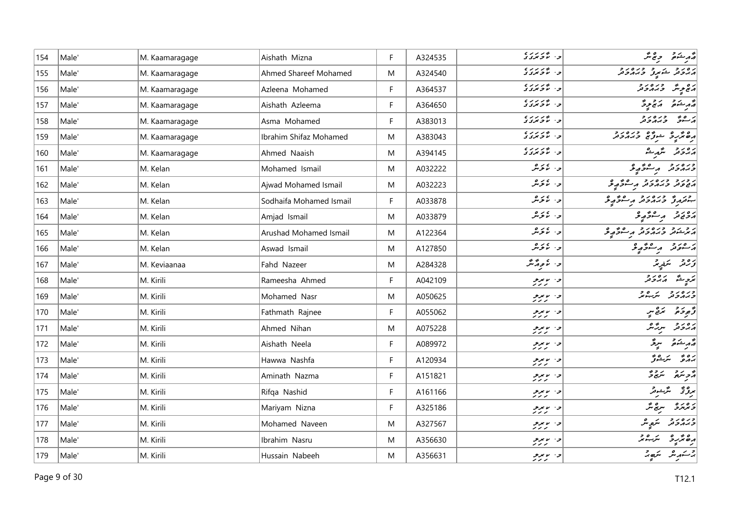| 154 | Male' | M. Kaamaragage | Aishath Mizna           | F | A324535 | و . شو بر بر بر بر<br>و . شو برو بر | ومرشكم وجمد                                     |
|-----|-------|----------------|-------------------------|---|---------|-------------------------------------|-------------------------------------------------|
| 155 | Male' | M. Kaamaragage | Ahmed Shareef Mohamed   | M | A324540 | و . شو بر بر بر بر<br>و . شو برو بر | رور و مشروع وره د و                             |
| 156 | Male' | M. Kaamaragage | Azleena Mohamed         | F | A364537 | و . عور در د<br>و . ماونبری ی       | د ه د په د د د د د                              |
| 157 | Male' | M. Kaamaragage | Aishath Azleema         | F | A364650 | و . شو بر ر ،<br>و . شو برو د       | وأرشكم أكافح وكالمحمج                           |
| 158 | Male' | M. Kaamaragage | Asma Mohamed            | F | A383013 | و . عور در د<br>و . ماونتری ی       | ړه وره دو                                       |
| 159 | Male' | M. Kaamaragage | Ibrahim Shifaz Mohamed  | M | A383043 | و . عور در د<br>و . ماونتری ی       | دە ئەرو شۆي دىرەرد                              |
| 160 | Male' | M. Kaamaragage | Ahmed Naaish            | M | A394145 | و<br>و                              | رەرد شەت                                        |
| 161 | Male' | M. Kelan       | Mohamed Ismail          | M | A032222 | و· ئاقرىش                           | ورەرو برعۇرپى                                   |
| 162 | Male' | M. Kelan       | Ajwad Mohamed Ismail    | M | A032223 | ى ئەبۇبىر                           | ر در د دره رو مشرقه و                           |
| 163 | Male' | M. Kelan       | Sodhaifa Mohamed Ismail | F | A033878 | وسيمخيش                             | بة مركز ورمادة المستوكلة و                      |
| 164 | Male' | M. Kelan       | Amjad Ismail            | M | A033879 | و· ئاقرىش                           | رەرو برے ئەيج                                   |
| 165 | Male' | M. Kelan       | Arushad Mohamed Ismail  | M | A122364 | وسيمخيش                             | ני כי כי כנסיים להפליק.<br>גיע בי המכנת המיכת ב |
| 166 | Male' | M. Kelan       | Aswad Ismail            | M | A127850 | وسيمخيش                             | أرسعونه وسنوريو                                 |
| 167 | Male' | M. Keviaanaa   | Fahd Nazeer             | M | A284328 | د· ئۈەرگەنگە                        | تزاوج الكمني يمر                                |
| 168 | Male' | M. Kirili      | Rameesha Ahmed          | F | A042109 | و- مومومو<br>مرکز ر                 | يرَدِيش كالرومز                                 |
| 169 | Male' | M. Kirili      | Mohamed Nasr            | M | A050625 | و- ما بوبو<br>گردار                 | ورەرو شەھ                                       |
| 170 | Male' | M. Kirili      | Fathmath Rajnee         | F | A055062 | و- ما بوبو<br>مربر                  | أزُّهِ دَدَّ مَدَّةٌ سٍ                         |
| 171 | Male' | M. Kirili      | Ahmed Nihan             | M | A075228 | وسوبونو<br>زرز                      | رەرو سرگامى                                     |
| 172 | Male' | M. Kirili      | Aishath Neela           | F | A089972 | و سومونو<br>مربر بر                 | و مر شو د محمد به دارند.<br>مر<br>سريڅه         |
| 173 | Male' | M. Kirili      | Hawwa Nashfa            | F | A120934 | وسوبرو                              | برە ئەستىدۇ                                     |
| 174 | Male' | M. Kirili      | Aminath Nazma           | F | A151821 | و سما مورمو<br>سر بر بر بر          | أأدبتكم الترويح                                 |
| 175 | Male' | M. Kirili      | Rifqa Nashid            | F | A161166 | وسوبرو                              | مِروْكٌ - مَرْجُومْرٌ                           |
| 176 | Male' | M. Kirili      | Mariyam Nizna           | F | A325186 | و- ما بوبو<br>زرز                   | رەرە سىھىگە                                     |
| 177 | Male' | M. Kirili      | Mohamed Naveen          | M | A327567 | وسوپرو                              | ورەرو شھرىگ                                     |
| 178 | Male' | M. Kirili      | Ibrahim Nasru           | M | A356630 | وس معرض<br>مرس                      | ىئەبىر بور<br>ەر ھەترىر <i>3</i>                |
| 179 | Male' | M. Kirili      | Hussain Nabeeh          | M | A356631 | و- ما بوبو<br>مربر                  | ג׳לות יל יות בי                                 |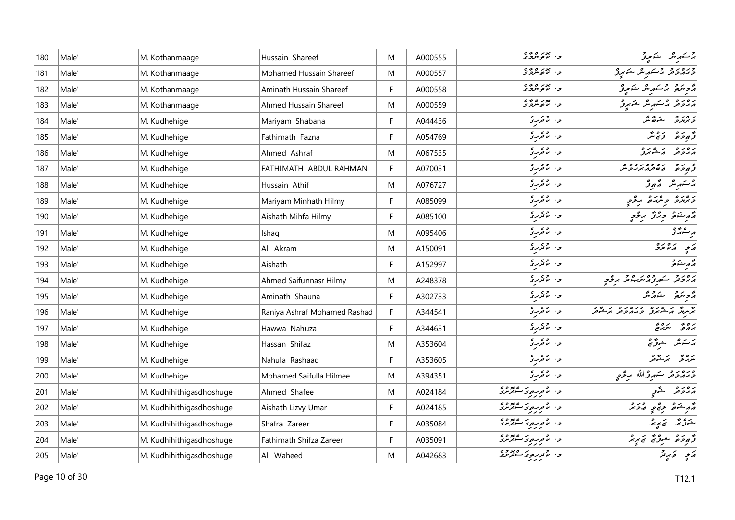| 180 | Male' | M. Kothanmaage           | Hussain Shareef              | M  | A000555 | $\begin{smallmatrix} & 2 & 8 & 9 & 7 & 7 & 8 \\ 7 & 3 & 7 & 8 & 9 & 1 & 7 \end{smallmatrix}$                                                                                                                                     | 2سىمەش ھەمپور                                                                                                  |
|-----|-------|--------------------------|------------------------------|----|---------|----------------------------------------------------------------------------------------------------------------------------------------------------------------------------------------------------------------------------------|----------------------------------------------------------------------------------------------------------------|
| 181 | Male' | M. Kothanmaage           | Mohamed Hussain Shareef      | M  | A000557 | د سره ده د د کا                                                                                                                                                                                                                  |                                                                                                                |
| 182 | Male' | M. Kothanmaage           | Aminath Hussain Shareef      | F  | A000558 | <br> و۰ توم مرد و و                                                                                                                                                                                                              | أأوسم أأكسكر المستمرو                                                                                          |
| 183 | Male' | M. Kothanmaage           | <b>Ahmed Hussain Shareef</b> | M  | A000559 | גי מים מים<br>כי מים ייטב ב                                                                                                                                                                                                      | رەرو رمىر ئەسەر ئىسى                                                                                           |
| 184 | Male' | M. Kudhehige             | Mariyam Shabana              | F  | A044436 | <sub>ح</sub> . ع <sub>قرىر</sub> ى                                                                                                                                                                                               | رەرە شەھىر                                                                                                     |
| 185 | Male' | M. Kudhehige             | Fathimath Fazna              | F  | A054769 | و . روي . کا                                                                                                                                                                                                                     | قهج وتر وتحاشر                                                                                                 |
| 186 | Male' | M. Kudhehige             | Ahmed Ashraf                 | M  | A067535 | د . عقربه تج                                                                                                                                                                                                                     | رەرد كەشىر                                                                                                     |
| 187 | Male' | M. Kudhehige             | FATHIMATH ABDUL RAHMAN       | F  | A070031 | <br> د ، عومرتز                                                                                                                                                                                                                  | و رو ره ده ده وه<br>گرجوحو ماه ترم تر تر تر                                                                    |
| 188 | Male' | M. Kudhehige             | Hussain Athif                | M  | A076727 | د ، غورځ                                                                                                                                                                                                                         | جرستهر شرقه وجمعوفر                                                                                            |
| 189 | Male' | M. Kudhehige             | Mariyam Minhath Hilmy        | F  | A085099 | <br> د ، مافرېږي                                                                                                                                                                                                                 | وبمهزو ومهتم برقوم                                                                                             |
| 190 | Male' | M. Kudhehige             | Aishath Mihfa Hilmy          | F. | A085100 | د . عقربه گی                                                                                                                                                                                                                     | ومنعو وباقر باقوم                                                                                              |
| 191 | Male' | M. Kudhehige             | Ishag                        | M  | A095406 | و. ع <sub>ق</sub> ربری                                                                                                                                                                                                           | برىشىتى                                                                                                        |
| 192 | Male' | M. Kudhehige             | Ali Akram                    | M  | A150091 | و . روي . کا                                                                                                                                                                                                                     | $rac{1}{2}$                                                                                                    |
| 193 | Male' | M. Kudhehige             | Aishath                      | F  | A152997 | د . عقربه تج                                                                                                                                                                                                                     | و گهر شوه <sub>و</sub>                                                                                         |
| 194 | Male' | M. Kudhehige             | Ahmed Saifunnasr Hilmy       | M  | A248378 | د ، غورځ                                                                                                                                                                                                                         | ו פו כ בין כפי פיכ גבב                                                                                         |
| 195 | Male' | M. Kudhehige             | Aminath Shauna               | F  | A302733 | -<br> - مورځ                                                                                                                                                                                                                     | أروستي المشروع                                                                                                 |
| 196 | Male' | M. Kudhehige             | Raniya Ashraf Mohamed Rashad | F  | A344541 | د ، عقربه که                                                                                                                                                                                                                     | محرس المرکب و در در در در در در در در در در در استفاده است کردند کردند کردند کردند کردند کردند کردند کردند کرد |
| 197 | Male' | M. Kudhehige             | Hawwa Nahuza                 | F  | A344631 | وسط قربری                                                                                                                                                                                                                        | ره د سره پر                                                                                                    |
| 198 | Male' | M. Kudhehige             | Hassan Shifaz                | M  | A353604 | <mark>و، غ</mark> ورځ                                                                                                                                                                                                            | ىز سەندىق ھەر <i>ۇچ</i>                                                                                        |
| 199 | Male' | M. Kudhehige             | Nahula Rashaad               | F  | A353605 |                                                                                                                                                                                                                                  | برە ئەستەتر                                                                                                    |
| 200 | Male' | M. Kudhehige             | Mohamed Saifulla Hilmee      | M  | A394351 | د . غ <sup>و</sup> رځ                                                                                                                                                                                                            | دبره دبر سورترالله برقرم                                                                                       |
| 201 | Male' | M. Kudhihithigasdhoshuge | Ahmed Shafee                 | M  | A024184 | و ، گوره د کروه د د<br>و ، گوره د ک                                                                                                                                                                                              | أرور والمتحمي                                                                                                  |
| 202 | Male' | M. Kudhihithigasdhoshuge | Aishath Lizvy Umar           | F  | A024185 | ه ۱۰ متوره و ۲۶ وره<br>۱۰ متوره و مستقرمرو                                                                                                                                                                                       |                                                                                                                |
| 203 | Male' | M. Kudhihithigasdhoshuge | Shafra Zareer                | F  | A035084 | د ، ر توره د مع و د ،<br>  د ، ر توره د مسئور د د                                                                                                                                                                                | شۇرىمى ئەيرىمى                                                                                                 |
| 204 | Male' | M. Kudhihithigasdhoshuge | Fathimath Shifza Zareer      | F  | A035091 | د ، ر هم د ر ه پود و ،<br>  د ، ر هم د سوفرسری                                                                                                                                                                                   | ژوده موژهٔ نمید                                                                                                |
| 205 | Male' | M. Kudhihithigasdhoshuge | Ali Waheed                   | M  | A042683 | ه ۱۰ متوره د کامود د د کامور د کامور د کامور د کامور د کامور د کامور د کامور د کامور د کامور د کامور د کامور ک<br>مورخ کامور کامور کامور کامور کامور کامور کامور کامور کامور کامور کامور کامور کامور کامور کامور کامور کامور کام | أركمت وكريمر                                                                                                   |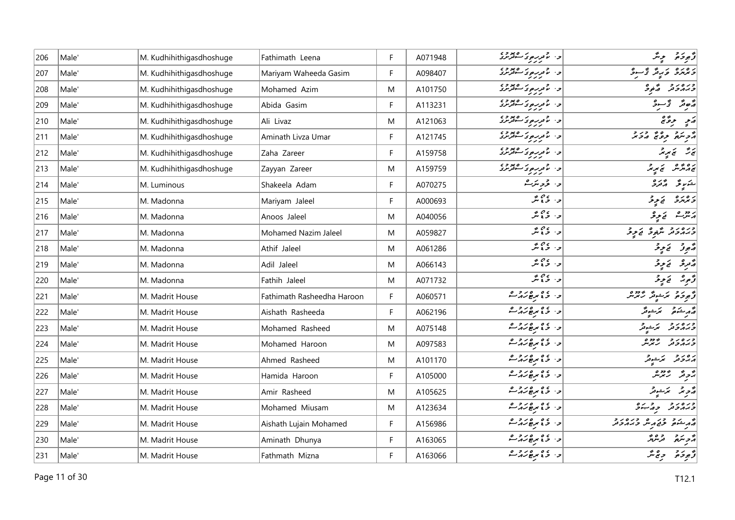| 206 | Male' | M. Kudhihithigasdhoshuge | Fathimath Leena            | F  | A071948 |                                                          | قهوزة ويتر                                                                                                         |
|-----|-------|--------------------------|----------------------------|----|---------|----------------------------------------------------------|--------------------------------------------------------------------------------------------------------------------|
| 207 | Male' | M. Kudhihithigasdhoshuge | Mariyam Waheeda Gasim      | F. | A098407 | د ۱۰ توپره د ۱۰ د و د<br>  د ۱۰ توپره د سوتوپرد          | وبرود ورثه تمسوه                                                                                                   |
| 208 | Male' | M. Kudhihithigasdhoshuge | Mohamed Azim               | M  | A101750 | د ، سی در مرکز ده بود د ،<br>  د ، سی در بر رسود مرکز    | כנסנכ ביכ                                                                                                          |
| 209 | Male' | M. Kudhihithigasdhoshuge | Abida Gasim                | F  | A113231 | ه ۱۰ مهرسه در ۲۶ وروبر<br>۱۰ مهرس مهرس در کاربرد         | ۇ ھۆر ئ <sup>ې</sup> سىرى<br>مەم                                                                                   |
| 210 | Male' | M. Kudhihithigasdhoshuge | Ali Livaz                  | M  | A121063 | و ستموره و ستورو و و و<br>سيد سيد ستوربرو<br>سيد سيد سيد | $\begin{array}{cc} \mathcal{E} & \mathcal{E} & \mathcal{E} \\ \mathcal{E} & \mathcal{E} & \mathcal{E} \end{array}$ |
| 211 | Male' | M. Kudhihithigasdhoshuge | Aminath Livza Umar         | F  | A121745 | و سرگوره و کروه و د<br>و سرگوره و سوگورو                 |                                                                                                                    |
| 212 | Male' | M. Kudhihithigasdhoshuge | Zaha Zareer                | F  | A159758 | و گوره د معروبا<br>و گوره د مستورد                       | يج تمج مريمه                                                                                                       |
| 213 | Male' | M. Kudhihithigasdhoshuge | Zayyan Zareer              | M  | A159759 | و به توره د کشورون<br>د به توره د کشوروز                 | ىرە ئەھ ئىم يى                                                                                                     |
| 214 | Male' | M. Luminous              | Shakeela Adam              | F  | A070275 | د. تۇرىئرىشە                                             | شَرَرٍ قَدْ الْمُرْحَرِ وَ                                                                                         |
| 215 | Male' | M. Madonna               | Mariyam Jaleel             | F  | A000693 | د و؟ مگر                                                 | دەرە ئېچى                                                                                                          |
| 216 | Male' | M. Madonna               | Anoos Jaleel               | M  | A040056 | ە بىر ئەھمە                                              | ردوب ت <sub>ح</sub> وث                                                                                             |
| 217 | Male' | M. Madonna               | Mohamed Nazim Jaleel       | M  | A059827 | د ع؟ مگر                                                 | ورورد شمود تموی                                                                                                    |
| 218 | Male' | M. Madonna               | Athif Jaleel               | M  | A061286 | د دې پر                                                  | ړ په د کام کې د                                                                                                    |
| 219 | Male' | M. Madonna               | Adil Jaleel                | M  | A066143 | د کی مگر                                                 | پروژ نے یویژ                                                                                                       |
| 220 | Male' | M. Madonna               | Fathih Jaleel              | M  | A071732 | د عيم عمر                                                | وَّمِيْنَ نَجْرٍ وَ                                                                                                |
| 221 | Male' | M. Madrit House          | Fathimath Rasheedha Haroon | F  | A060571 |                                                          |                                                                                                                    |
| 222 | Male' | M. Madrit House          | Aishath Rasheeda           | F. | A062196 | و و، وروده                                               | أقهر مشكاة أستمر المرسفية                                                                                          |
| 223 | Male' | M. Madrit House          | Mohamed Rasheed            | M  | A075148 | وسي والمروغ كرمر م                                       | ورەرو كەنبەتر                                                                                                      |
| 224 | Male' | M. Madrit House          | Mohamed Haroon             | M  | A097583 |                                                          | یو دو ه<br>رنجونتر<br>و ره ر و<br><i>و پر</i> و تر                                                                 |
| 225 | Male' | M. Madrit House          | Ahmed Rasheed              | M  | A101170 |                                                          | رەر دىكىنىد                                                                                                        |
| 226 | Male' | M. Madrit House          | Hamida Haroon              | F  | A105000 | وسي وعدوه المرور                                         | أثردتم المتحميش                                                                                                    |
| 227 | Male' | M. Madrit House          | Amir Rasheed               | M  | A105625 | وسي وعرور المستعمر                                       | أرجو بمرتضو تراميهم                                                                                                |
| 228 | Male' | M. Madrit House          | Mohamed Miusam             | M  | A123634 |                                                          | כנים ניבי בה הים                                                                                                   |
| 229 | Male' | M. Madrit House          | Aishath Lujain Mohamed     | F  | A156986 | وسي والمتعاصر والمحمد                                    | ה' אילים בני איל בגובית                                                                                            |
| 230 | Male' | M. Madrit House          | Aminath Dhunya             | F. | A163065 | وسي والمروغ كرمر م                                       | أزمر بنرد<br>ترسرگر                                                                                                |
| 231 | Male' | M. Madrit House          | Fathmath Mizna             | F  | A163066 | وسي والمحر والمحرمة                                      | ژوځو د عا                                                                                                          |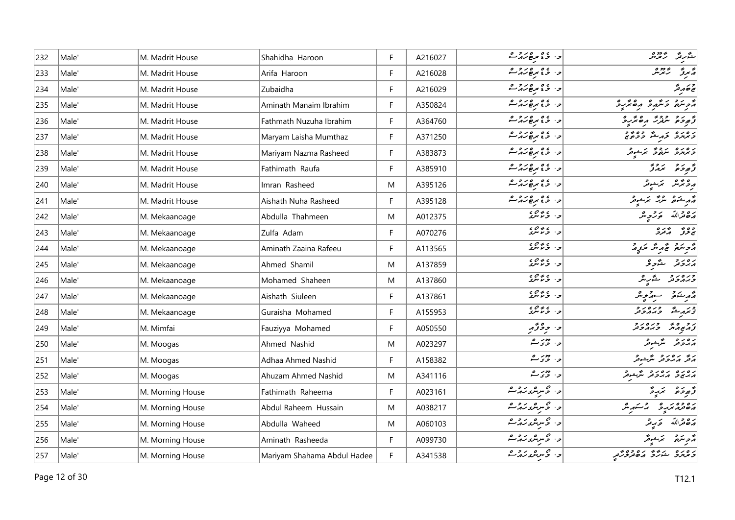| 232 | Male' | M. Madrit House  | Shahidha Haroon             | F         | A216027 | وسي والمحرور المحمد والمحمد  | پر دو ه<br>رنگرس<br>شقىرىتىر<br>ب                              |
|-----|-------|------------------|-----------------------------|-----------|---------|------------------------------|----------------------------------------------------------------|
| 233 | Male' | M. Madrit House  | Arifa Haroon                | F         | A216028 | وسي ويده ورواحد              | ەتىرو<br>بر دو ه<br>رنجو پس                                    |
| 234 | Male' | M. Madrit House  | Zubaidha                    | F         | A216029 | وسي والمحرور المحمد والمحمد  | <br> بم ح <i>اد</i> قر                                         |
| 235 | Male' | M. Madrit House  | Aminath Manaim Ibrahim      | F         | A350824 | وسي والمحارج من المحمد       | أزمتنى وتثمرو رقتررو                                           |
| 236 | Male' | M. Madrit House  | Fathmath Nuzuha Ibrahim     | F         | A364760 | وسي ولا مرضوع كرور محمد      | و مرد دور مره ندره                                             |
| 237 | Male' | M. Madrit House  | Maryam Laisha Mumthaz       | F         | A371250 |                              | وبرود كرمة وه ود                                               |
| 238 | Male' | M. Madrit House  | Mariyam Nazma Rasheed       | F         | A383873 | و وعموه دوره                 | د ۱۵ د د و ۶ کرشونگر                                           |
| 239 | Male' | M. Madrit House  | Fathimath Raufa             | F         | A385910 | وسي والمحرور المحمد والمحمد  | أوجوحه بمدرق                                                   |
| 240 | Male' | M. Madrit House  | Imran Rasheed               | ${\sf M}$ | A395126 | وسي والمحر والمحرمة والمحمد  | پروټر تر ټر په پر                                              |
| 241 | Male' | M. Madrit House  | Aishath Nuha Rasheed        | F         | A395128 | وسي والمحرور المحمد والمحمد  | ائی پر شوی دیگر می شوند<br>ایران شوی می می شوند                |
| 242 | Male' | M. Mekaanoage    | Abdulla Thahmeen            | M         | A012375 | و . و را می                  | أرەقمەللە مىزىرىش                                              |
| 243 | Male' | M. Mekaanoage    | Zulfa Adam                  | F         | A070276 | ه د ۱۶۴۶<br>د ۱۶۳۶ کرد       | وه بو مصر م<br>  بح <del>م</del> رقر مرکز                      |
| 244 | Male' | M. Mekaanoage    | Aminath Zaaina Rafeeu       | F         | A113565 | ه ۱۶۴۶ و.<br>د ۱۶۶۶ مر       | مزوجكم للمرشر للزور                                            |
| 245 | Male' | M. Mekaanoage    | Ahmed Shamil                | M         | A137859 | و . و ۵ پوړ                  | أرەر ئەھمىتى ئىشتى ئىستىلىكى ئىستان ئىشتار ئىشتار ئىشتار ئىشتا |
| 246 | Male' | M. Mekaanoage    | Mohamed Shaheen             | M         | A137860 | ه ۱۶۴۶ و.<br>د ارم شر        | ورەرو شەرش                                                     |
| 247 | Male' | M. Mekaanoage    | Aishath Siuleen             | F         | A137861 | و . و پړه وه                 | ۇرمۇق سورمچىر                                                  |
| 248 | Male' | M. Mekaanoage    | Guraisha Mohamed            | F         | A155953 | ه د وره و.<br>د ۱ و تا مترنگ | ور در در در<br>تح <i>مد شگر حد ح</i> د ح                       |
| 249 | Male' | M. Mimfai        | Fauziyya Mohamed            | F         | A050550 | د· دِوْرٌم <i>ِ</i>          | צ'ות מי כלוסני                                                 |
| 250 | Male' | M. Moogas        | Ahmed Nashid                | M         | A023297 | د . دد پ                     | رەر دېگرىشەتر                                                  |
| 251 | Male' | M. Moogas        | Adhaa Ahmed Nashid          | F         | A158382 | د . دد پ                     | ری رورو گرشوتر                                                 |
| 252 | Male' | M. Moogas        | Ahuzam Ahmed Nashid         | M         | A341116 | د به در ه                    | رەرە رەرد ئريدۇ.<br>م.رىخ م.روىر س                             |
| 253 | Male' | M. Morning House | Fathimath Raheema           | F         | A023161 | و و گورمگرم کرد ه            | قەدىق ئېرىق                                                    |
| 254 | Male' | M. Morning House | Abdul Raheem Hussain        | M         | A038217 | وبالمح مرهندى كالمحمد        | - 2020 كار مى كى كىل بىر بىر                                   |
| 255 | Male' | M. Morning House | Abdulla Waheed              | M         | A060103 | و و کورېږي رو ده             | بره والله كربر و                                               |
| 256 | Male' | M. Morning House | Aminath Rasheeda            | F         | A099730 | و. د سرچری کرد م             | أأروبتكم التمرشوند                                             |
| 257 | Male' | M. Morning House | Mariyam Shahama Abdul Hadee | F         | A341538 | و. گەس سى ئەرقى              | ر ٥ ره د د و د ٥ وه ور                                         |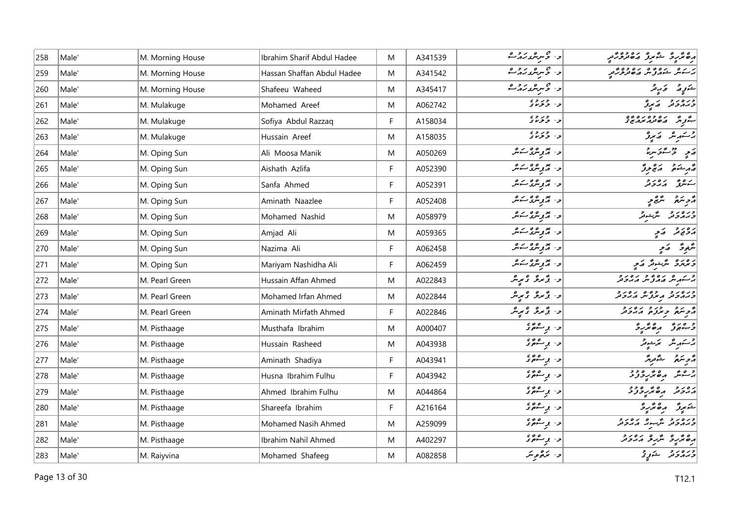| 258 | Male' | M. Morning House | Ibrahim Sharif Abdul Hadee | M  | A341539 | و. گەس مىرىكە ئەرگ                                 | مەھەر ئەھمەر مەدەر ئور                                                                                                                                                                                                          |
|-----|-------|------------------|----------------------------|----|---------|----------------------------------------------------|---------------------------------------------------------------------------------------------------------------------------------------------------------------------------------------------------------------------------------|
| 259 | Male' | M. Morning House | Hassan Shaffan Abdul Hadee | M  | A341542 | <sub>و</sub> . <sub>گ</sub> ىرىئ <sub>ىد</sub> ىگە | ر کره دره وه ده ده وه.<br>پرسوس شوړوس پره ترورتور                                                                                                                                                                               |
| 260 | Male' | M. Morning House | Shafeeu Waheed             | M  | A345417 | د ، د کور مرد د هم د م                             | ڪنوپار آھي آھي آھي آھي                                                                                                                                                                                                          |
| 261 | Male' | M. Mulakuge      | Mohamed Areef              | M  | A062742 | $5 - 2 - 7$                                        | ورەرو كەيرى                                                                                                                                                                                                                     |
| 262 | Male' | M. Mulakuge      | Sofiya Abdul Razzaq        | F  | A158034 | $5 - 2 - 7$                                        | ر ده وه ده وه ده ده.<br>سگرېد ماه مرد مرد من                                                                                                                                                                                    |
| 263 | Male' | M. Mulakuge      | Hussain Areef              | M  | A158035 | و . وو و ،<br>و . و توما ی                         | 2 سەر شەر كەيدۇ.<br>مەسىر                                                                                                                                                                                                       |
| 264 | Male' | M. Oping Sun     | Ali Moosa Manik            | M  | A050269 | ى بىر تەركىنىڭ ئىكەنگە                             | أرشح والمستحر سرح                                                                                                                                                                                                               |
| 265 | Male' | M. Oping Sun     | Aishath Azlifa             | F  | A052390 | <sub>چ</sub> . ئېزىقرى كەنگە                       | أقهر شنقى أتجمع ومحمح                                                                                                                                                                                                           |
| 266 | Male' | M. Oping Sun     | Sanfa Ahmed                | F  | A052391 | چە ئىز بەر ئەسەسىر                                 | ستسمة المرورو                                                                                                                                                                                                                   |
| 267 | Male' | M. Oping Sun     | Aminath Naazlee            | F  | A052408 |                                                    | أزويتم تمستناهم                                                                                                                                                                                                                 |
| 268 | Male' | M. Oping Sun     | Mohamed Nashid             | M  | A058979 | <sub>و</sub> . بروپر <sub>ى</sub> ئەبە             | ورەرو شەر                                                                                                                                                                                                                       |
| 269 | Male' | M. Oping Sun     | Amjad Ali                  | M  | A059365 | <sub>و</sub> . بی <sub>رو</sub> مرد که ک           | رەر دېر                                                                                                                                                                                                                         |
| 270 | Male' | M. Oping Sun     | Nazima Ali                 | F  | A062458 | ح به مجموعه شرکت میکند.<br>ح                       | يترەۋچە كەيچە                                                                                                                                                                                                                   |
| 271 | Male' | M. Oping Sun     | Mariyam Nashidha Ali       | F. | A062459 | ى ئىز بىرى ئەسىر                                   | ويرتزوا الراعونز أأور                                                                                                                                                                                                           |
| 272 | Male' | M. Pearl Green   | Hussain Affan Ahmed        | M  | A022843 | وسرمح يورهر الاستراكير بالكر                       | و کرده ده ده د ده د و<br>پرکستهرس مدوس مدونتر                                                                                                                                                                                   |
| 273 | Male' | M. Pearl Green   | Mohamed Irfan Ahmed        | M  | A022844 | و- برٌ برو دُ برِ بر                               | ورەر د دومۇر رەرد                                                                                                                                                                                                               |
| 274 | Male' | M. Pearl Green   | Aminath Mirfath Ahmed      | F  | A022846 | دا ، ژُمرو دُمِرِسُ                                | أأوشي وبرزه المدون                                                                                                                                                                                                              |
| 275 | Male' | M. Pisthaage     | Musthafa Ibrahim           | M  | A000407 | د . ب <sub>و</sub> ره و ،                          | ومبهوز مصريره                                                                                                                                                                                                                   |
| 276 | Male' | M. Pisthaage     | Hussain Rasheed            | M  | A043938 | اه . و معنی                                        | چرىكىرىكى ئىركىيەتى                                                                                                                                                                                                             |
| 277 | Male' | M. Pisthaage     | Aminath Shadiya            | F. | A043941 | و٠ و ره و ٤                                        | ۇ ئەسكە ھەمەر                                                                                                                                                                                                                   |
| 278 | Male' | M. Pisthaage     | Husna Ibrahim Fulhu        | F  | A043942 | ه . بو عصري                                        | ر مشر میگر در در در در در در برای برای برای در در در دارای در در دارای در دارای در دارای در دارای در دارای دا<br>میباشد به دست در در در در دارای در دارای در دارای در دارای در دارای در دارای در دارای در دارای در دارای در دار |
| 279 | Male' | M. Pisthaage     | Ahmed Ibrahim Fulhu        | M  | A044864 | د . بوسفوی                                         | ره د ده پژره و و د                                                                                                                                                                                                              |
| 280 | Male' | M. Pisthaage     | Shareefa Ibrahim           | F  | A216164 | و. بوسفوی                                          | خورته رەھمىر                                                                                                                                                                                                                    |
| 281 | Male' | M. Pisthaage     | Mohamed Nasih Ahmed        | M  | A259099 | وسيمر ه وي                                         | ورەرو شبەر مەدرو                                                                                                                                                                                                                |
| 282 | Male' | M. Pisthaage     | Ibrahim Nahil Ahmed        | M  | A402297 | و. بوسفۇي                                          | مەھزىرە ئىرگە ئەدەر                                                                                                                                                                                                             |
| 283 | Male' | M. Raiyvina      | Mohamed Shafeeg            | M  | A082858 | ح- ئىق <sub>ۇ</sub> مۇسكە                          | ورەرو شەرق                                                                                                                                                                                                                      |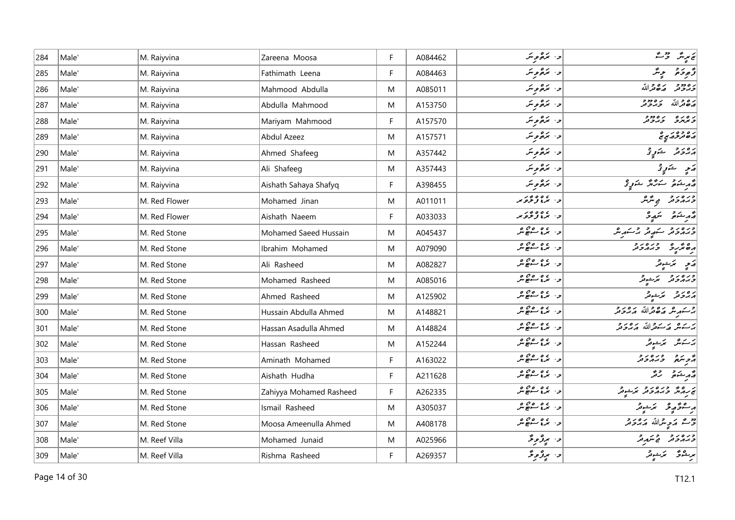| 284 | Male' | M. Raiyvina   | Zareena Moosa           | F  | A084462 | ح <sup>.</sup> ئىۋەپتر                       | وحرثة<br> ئى ئىرىتىر<br>                     |
|-----|-------|---------------|-------------------------|----|---------|----------------------------------------------|----------------------------------------------|
| 285 | Male' | M. Raiyvina   | Fathimath Leena         | F. | A084463 | و· بره و مگر                                 | قەدە دېگە                                    |
| 286 | Male' | M. Raiyvina   | Mahmood Abdulla         | M  | A085011 | ح بم مركز و بكر                              | ره دو ده در الله                             |
| 287 | Male' | M. Raiyvina   | Abdulla Mahmood         | M  | A153750 | —<br> ح• تمگره حرینگه                        | رەمراللە<br>ر ه دو و<br>تربر <del>و</del> ر  |
| 288 | Male' | M. Raiyvina   | Mariyam Mahmood         | F  | A157570 | د· ئرگ <sub>ۇ</sub> مۇسكە                    | ر ه دو و<br>تربر <del>و</del> تر<br>ر ه ر ه  |
| 289 | Male' | M. Raiyvina   | Abdul Azeez             | M  | A157571 | ح بمحره عرضه                                 | ره وه ر<br>مه هو د در سي                     |
| 290 | Male' | M. Raiyvina   | Ahmed Shafeeg           | M  | A357442 | د· ئرگ <sub>ۇ</sub> مەر                      | پره پر په مخکي چی                            |
| 291 | Male' | M. Raiyvina   | Ali Shafeeg             | M  | A357443 | د· ئرگ <sub>ۇ</sub> مەر                      | أَمَرِ جَمَعٍ وَ                             |
| 292 | Male' | M. Raiyvina   | Aishath Sahaya Shafyq   | F  | A398455 | ح <sup>.</sup> ئىرگە <i>ھ</i> ېڭر            | وأربحتم كالأراك بحاورتي                      |
| 293 | Male' | M. Red Flower | Mohamed Jinan           | M  | A011011 | ە 2900 كەرىر<br>جەسىمە بى قرىمى ئىر          | ورەرو يېرىر<br><i>دىد</i> رونر يېرىر         |
| 294 | Male' | M. Red Flower | Aishath Naeem           | F. | A033033 | ر ، ره ه <i>و و د</i> ر<br>د · مگره توڅوکمتر | أمام يشكاه المتماريح                         |
| 295 | Male' | M. Red Stone  | Mohamed Saeed Hussain   | M  | A045437 | و. بره موه مور                               | ورەرو سەرە جىسەر                             |
| 296 | Male' | M. Red Stone  | Ibrahim Mohamed         | M  | A079090 | و. برو موه مر                                | 0 2000 00000                                 |
| 297 | Male' | M. Red Stone  | Ali Rasheed             | M  | A082827 | و. برو وه وه                                 | أركمني المركب وتر                            |
| 298 | Male' | M. Red Stone  | Mohamed Rasheed         | M  | A085016 | د . بره مش <u>رح م</u> ر                     | ورەرو كەنبەتر                                |
| 299 | Male' | M. Red Stone  | Ahmed Rasheed           | M  | A125902 | 90000000000                                  | أرەر ئەسىر                                   |
| 300 | Male' | M. Red Stone  | Hussain Abdulla Ahmed   | M  | A148821 | د . بره وه وه مر                             | ج سومر مرده قرالله بره برد                   |
| 301 | Male' | M. Red Stone  | Hassan Asadulla Ahmed   | M  | A148824 | وسيمع سوم مر                                 | برےمگر مرتبطرالله مربرصر                     |
| 302 | Male' | M. Red Stone  | Hassan Rasheed          | M  | A152244 | 90000000000                                  | <br>  يركسكر   مركسونر                       |
| 303 | Male' | M. Red Stone  | Aminath Mohamed         | F  | A163022 | و. برو موه مر                                | ב תב כנסיב                                   |
| 304 | Male' | M. Red Stone  | Aishath Hudha           | F  | A211628 | ى بى مەھر                                    |                                              |
| 305 | Male' | M. Red Stone  | Zahiyya Mohamed Rasheed | F  | A262335 | و. برو موه مر                                | ג פו כנפיכ גבוב                              |
| 306 | Male' | M. Red Stone  | Ismail Rasheed          | M  | A305037 | د . بره وه وه مر                             | ر جۇرپۇ - ئەجەم                              |
| 307 | Male' | M. Red Stone  | Moosa Ameenulla Ahmed   | M  | A408178 | د . بره وه وه مر                             | قرع <sub>م</sub> حو بترالله م <i>زج</i> و تر |
| 308 | Male' | M. Reef Villa | Mohamed Junaid          | M  | A025966 | و· مرو <sub>گ</sub> ورگ                      | כגם גב ביתגב                                 |
| 309 | Male' | M. Reef Villa | Rishma Rasheed          | F  | A269357 | د· برِرْوِرْ                                 | برنقومي المرتفويل                            |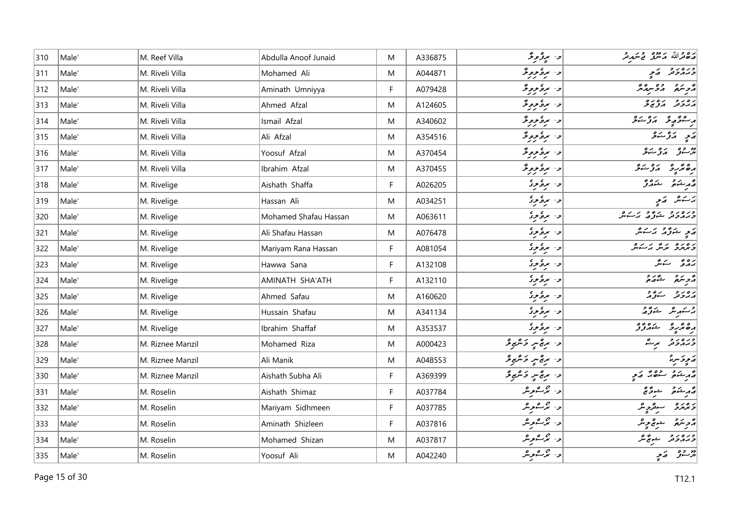| 310 | Male' | M. Reef Villa    | Abdulla Anoof Junaid  | M  | A336875 | د· مرِرْورِدَّ                                        | أرە داللە مەندو قاسمەت                                 |
|-----|-------|------------------|-----------------------|----|---------|-------------------------------------------------------|--------------------------------------------------------|
| 311 | Male' | M. Riveli Villa  | Mohamed Ali           | M  | A044871 | -<br> د· برهٔ دِهِ دُ                                 | ورەرو كەي                                              |
| 312 | Male' | M. Riveli Villa  | Aminath Umniyya       | F. | A079428 | ر. برة ووردً                                          |                                                        |
| 313 | Male' | M. Riveli Villa  | Ahmed Afzal           | M  | A124605 | - برۂ دِه دُّ                                         | د ه د و ده ده و                                        |
| 314 | Male' | M. Riveli Villa  | Ismail Afzal          | M  | A340602 | -<br> - بره دود                                       | ر عۇرپۇ بەر ئىك                                        |
| 315 | Male' | M. Riveli Villa  | Ali Afzal             | M  | A354516 | -<br> و· بره ووځ                                      | أەير مۇشكى                                             |
| 316 | Male' | M. Riveli Villa  | Yoosuf Afzal          | M  | A370454 | -<br> و· برهٔ دِهِ دُ                                 | دو ده دو بره ده                                        |
| 317 | Male' | M. Riveli Villa  | Ibrahim Afzal         | M  | A370455 | ر· برة دورة                                           | رەنزىر رۇت                                             |
| 318 | Male' | M. Rivelige      | Aishath Shaffa        | F  | A026205 | و· برؤودگی                                            |                                                        |
| 319 | Male' | M. Rivelige      | Hassan Ali            | M  | A034251 | و· برؤودگی                                            | يزكتش كمزمج                                            |
| 320 | Male' | M. Rivelige      | Mohamed Shafau Hassan | M  | A063611 | د· برځ ی <sub>و</sub> ځ                               | ورەرو بەدە بەلەر                                       |
| 321 | Male' | M. Rivelige      | Ali Shafau Hassan     | M  | A076478 | د· برځ ی <sub>و</sub> ځ                               | ړې خرگه ټرخه                                           |
| 322 | Male' | M. Rivelige      | Mariyam Rana Hassan   | F  | A081054 | و· برؤودگی                                            | دەرە بەش ئەسەس                                         |
| 323 | Male' | M. Rivelige      | Hawwa Sana            | F  | A132108 | د· برځ ی <sub>و</sub> ځ                               | برە ئەستەر                                             |
| 324 | Male' | M. Rivelige      | AMINATH SHA'ATH       | F  | A132110 | د· برځ ی <sub>و</sub> ځ                               | أمر مترة الشورة                                        |
| 325 | Male' | M. Rivelige      | Ahmed Safau           | M  | A160620 | د· برځ ی <sub>و</sub> ځ                               | ره رو درود                                             |
| 326 | Male' | M. Rivelige      | Hussain Shafau        | M  | A341134 | د· برځ ی <sub>و</sub> ځ                               | ير سەر شەرقەر                                          |
| 327 | Male' | M. Rivelige      | Ibrahim Shaffaf       | M  | A353537 | د· برځ ی <sub>و</sub> ځ                               | رەپرىر شەرىرە                                          |
| 328 | Male' | M. Riznee Manzil | Mohamed Riza          | M  | A000423 | <sub>و: بر</sub> چمبر ډَمر <sub>ْم</sub> و            | ورەرو برگ                                              |
| 329 | Male' | M. Riznee Manzil | Ali Manik             | M  | A048553 | د· برجمبرٍ وَسْمَبِرْ وَ                              | ە ئېرىر ئىرىد                                          |
| 330 | Male' | M. Riznee Manzil | Aishath Subha Ali     | F  | A369399 | د· برجمبرِ وَسْمَبِرْ وْ                              |                                                        |
| 331 | Male' | M. Roselin       | Aishath Shimaz        | F  | A037784 | -<br> د· ئرگىموشر                                     | و د کرد د ده ده<br>د کرد کار در                        |
| 332 | Male' | M. Roselin       | Mariyam Sidhmeen      | F  | A037785 | د. ئۇسۇمۇمىر                                          | رەرە سور <sub>و</sub> ر                                |
| 333 | Male' | M. Roselin       | Aminath Shizleen      | F  | A037816 | ر موسفوی <sub>ن</sub> گر<br>اح <sup>.</sup> موسفوینگر | <sub>شو</sub> چ <sub>مح</sub> ٍیثر<br>ړځ سرچ           |
| 334 | Male' | M. Roselin       | Mohamed Shizan        | M  | A037817 | -<br> د· مرگ موشر                                     | و ره ر د<br><i>د ب</i> رگر تر<br><sub>ىشو</sub> يۇ بىر |
| 335 | Male' | M. Roselin       | Yoosuf Ali            | M  | A042240 | د. نۇسىموسۇ                                           | دو ده<br>افر سور همنو                                  |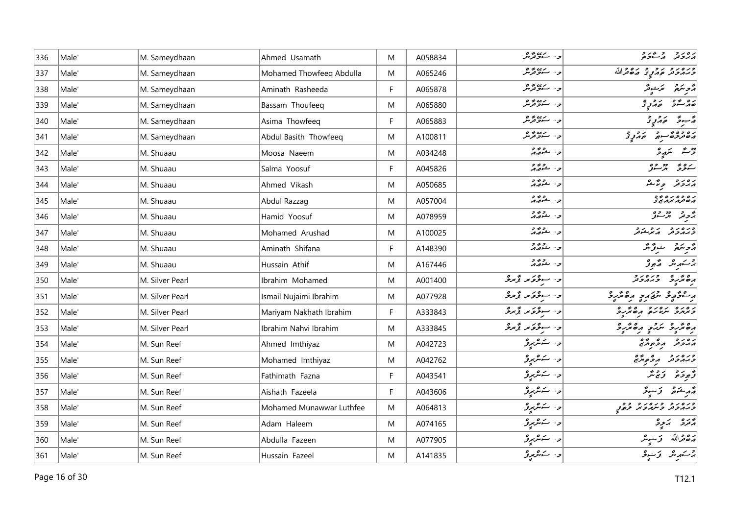| 336 | Male' | M. Sameydhaan   | Ahmed Usamath            | M           | A058834 | ى سىۋىترىش                                                                                                                          | גם גב ביניבי                                                                                                   |
|-----|-------|-----------------|--------------------------|-------------|---------|-------------------------------------------------------------------------------------------------------------------------------------|----------------------------------------------------------------------------------------------------------------|
| 337 | Male' | M. Sameydhaan   | Mohamed Thowfeeq Abdulla | M           | A065246 | <sub>ج</sub> . سے دوگرمنز                                                                                                           | ورەرو روپر مەھرللە                                                                                             |
| 338 | Male' | M. Sameydhaan   | Aminath Rasheeda         | F           | A065878 | و. سەھ تەش                                                                                                                          | أزويتكم تمتشوش                                                                                                 |
| 339 | Male' | M. Sameydhaan   | Bassam Thoufeeg          | M           | A065880 | ى سى <i>ۋەت</i> رى <i>ش</i>                                                                                                         |                                                                                                                |
| 340 | Male' | M. Sameydhaan   | Asima Thowfeeq           | $\mathsf F$ | A065883 | و. سەۋەترىر                                                                                                                         | و المسرد المعروفية المستخدم المستخدم المستخدم المستخدم المستخدم المستخدم المستخدم المستخدم المستخدم المستخدم ا |
| 341 | Male' | M. Sameydhaan   | Abdul Basith Thowfeeq    | M           | A100811 | و. سەۋەترىش                                                                                                                         |                                                                                                                |
| 342 | Male' | M. Shuaau       | Moosa Naeem              | M           | A034248 | و. شەھەر                                                                                                                            | ر په سمبرو                                                                                                     |
| 343 | Male' | M. Shuaau       | Salma Yoosuf             | F           | A045826 | و شمارد<br>و شمار                                                                                                                   | پەرەپە دەر دەر                                                                                                 |
| 344 | Male' | M. Shuaau       | Ahmed Vikash             | M           | A050685 | و. شەھەر                                                                                                                            | أرەر و ئىش                                                                                                     |
| 345 | Male' | M. Shuaau       | Abdul Razzag             | M           | A057004 | و. شەھەر                                                                                                                            | ر ٥ ر ٥ ر ٥ ر و <del>۶</del><br>۵ ه تو ۸ بر ۸ س                                                                |
| 346 | Male' | M. Shuaau       | Hamid Yoosuf             | M           | A078959 | و. شەھەر                                                                                                                            | پر دی در ده                                                                                                    |
| 347 | Male' | M. Shuaau       | Mohamed Arushad          | M           | A100025 | و. شەھەر                                                                                                                            | ورەرو رورو                                                                                                     |
| 348 | Male' | M. Shuaau       | Aminath Shifana          | $\mathsf F$ | A148390 | و، شەھەر                                                                                                                            | ۇ ئەھر ھۆر ئىگە                                                                                                |
| 349 | Male' | M. Shuaau       | Hussain Athif            | M           | A167446 | و. شەھەر                                                                                                                            | جە سەر شىم ئەھجىر ئى                                                                                           |
| 350 | Male' | M. Silver Pearl | Ibrahim Mohamed          | M           | A001400 | <mark>وسوءَ پر گريز</mark>                                                                                                          | ە 2007 - 2007 كىلىرى بىر<br>مەھمىر 2007 كىلىر                                                                  |
| 351 | Male' | M. Silver Pearl | Ismail Nujaimi Ibrahim   | M           | A077928 | وسودة كالمراكز برد                                                                                                                  |                                                                                                                |
| 352 | Male' | M. Silver Pearl | Mariyam Nakhath Ibrahim  | F           | A333843 | وسووة بر ومرو                                                                                                                       | נ סנס נסנד פינים                                                                                               |
| 353 | Male' | M. Silver Pearl | Ibrahim Nahvi Ibrahim    | M           | A333845 | $\left  \begin{array}{ccc} \text{S.} & \text{S.} & \text{S.} & \text{S.} \ & \text{S.} & \text{S.} & \text{S.} \end{array} \right $ | معتبرة سكو معتبرة                                                                                              |
| 354 | Male' | M. Sun Reef     | Ahmed Imthiyaz           | M           | A042723 | د. سەھرىپۇ                                                                                                                          | המכנה הפתחת                                                                                                    |
| 355 | Male' | M. Sun Reef     | Mohamed Imthiyaz         | M           | A042762 | د. سەھرىپۇ                                                                                                                          | כממכני תכתחת                                                                                                   |
| 356 | Male' | M. Sun Reef     | Fathimath Fazna          | $\mathsf F$ | A043541 | <sub>چ</sub> . سەنگەرۇ                                                                                                              | ژ <sub>بوخو</sub> زینگ                                                                                         |
| 357 | Male' | M. Sun Reef     | Aishath Fazeela          | F           | A043606 | د. سەھرىپەرۋ                                                                                                                        | لأرشكم وكسوقر                                                                                                  |
| 358 | Male' | M. Sun Reef     | Mohamed Munawwar Luthfee | M           | A064813 | د. سەنگەرىۋ                                                                                                                         | ورەر د درەر د دور                                                                                              |
| 359 | Male' | M. Sun Reef     | Adam Haleem              | M           | A074165 | د. سەھ بىر بۇ                                                                                                                       | ړ ترو پر دو                                                                                                    |
| 360 | Male' | M. Sun Reef     | Abdulla Fazeen           | M           | A077905 | [ <sub>ح</sub> . سەھ <sub>ىبى</sub> دۇ                                                                                              | مَدْهِ مِّرْ اللَّهُ مَى سَبِيْر                                                                               |
| 361 | Male' | M. Sun Reef     | Hussain Fazeel           | M           | A141835 | د. سەشرىرۇ                                                                                                                          | برسكهرش كالمنيوش                                                                                               |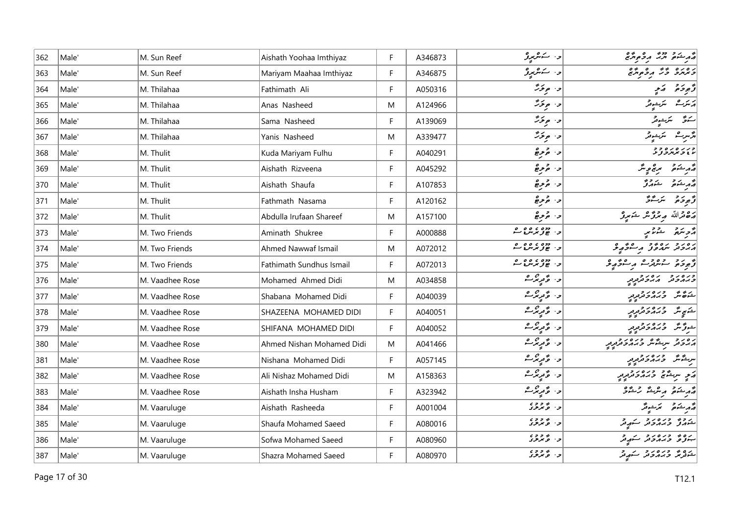| 362 | Male' | M. Sun Reef     | Aishath Yoohaa Imthiyaz   | F  | A346873 | ى سەھ <sub>ىبو</sub> ۋ                           | הת בים חג תכם תם                                                                                                                                                                       |
|-----|-------|-----------------|---------------------------|----|---------|--------------------------------------------------|----------------------------------------------------------------------------------------------------------------------------------------------------------------------------------------|
| 363 | Male' | M. Sun Reef     | Mariyam Maahaa Imthiyaz   | F. | A346875 | ە سەھىرۇ                                         | ן פיני כל נכתחת                                                                                                                                                                        |
| 364 | Male' | M. Thilahaa     | Fathimath Ali             | F. | A050316 | اه . موځرڅ<br>__                                 | توجوجو المامي                                                                                                                                                                          |
| 365 | Male' | M. Thilahaa     | Anas Nasheed              | M  | A124966 | و٠ موقررٌ                                        | كەنىرك ئىكرىكىچە كىر                                                                                                                                                                   |
| 366 | Male' | M. Thilahaa     | Sama Nasheed              | F  | A139069 | و- موتزرٌ                                        | أسكافي المترتقيون                                                                                                                                                                      |
| 367 | Male' | M. Thilahaa     | Yanis Nasheed             | M  | A339477 | و· موقرگ                                         | گرسرے سرجاوتر                                                                                                                                                                          |
| 368 | Male' | M. Thulit       | Kuda Mariyam Fulhu        | F  | A040291 | والمحموظ                                         |                                                                                                                                                                                        |
| 369 | Male' | M. Thulit       | Aishath Rizveena          | F  | A045292 | و· قوموهي                                        | أقهر يشكونه ويحموننكر                                                                                                                                                                  |
| 370 | Male' | M. Thulit       | Aishath Shaufa            | F  | A107853 | و· قوموهي                                        | وكرم شكوم الشورمي                                                                                                                                                                      |
| 371 | Male' | M. Thulit       | Fathmath Nasama           | F. | A120162 | و· قوموظ                                         | أوجوده المراشوة                                                                                                                                                                        |
| 372 | Male' | M. Thulit       | Abdulla Irufaan Shareef   | M  | A157100 | وستمجرهج                                         | أرەقراللە مەترۇش خەمرو                                                                                                                                                                 |
| 373 | Male' | M. Two Friends  | Aminath Shukree           | F. | A000888 | و. حوز برس م                                     | أثرجر سترتمني                                                                                                                                                                          |
| 374 | Male' | M. Two Friends  | Ahmed Nawwaf Ismail       | M  | A072012 | و. جوړ سره مه په                                 | رەر دەر دەر دەر 2000.<br>مەدور شمەن مەستۇم 2                                                                                                                                           |
| 375 | Male' | M. Two Friends  | Fathimath Sundhus Ismail  | F  | A072013 | د. مور ده ه ه ه م                                | و ده ده ده د مشور و                                                                                                                                                                    |
| 376 | Male' | M. Vaadhee Rose | Mohamed Ahmed Didi        | M  | A034858 | <sub>و</sub> .   وٌم <sub>و</sub> يرے            |                                                                                                                                                                                        |
| 377 | Male' | M. Vaadhee Rose | Shabana Mohamed Didi      | F. | A040039 |                                                  | دره بر ۲۵٫۶ ورورو<br>شوه ش وبر دو در در                                                                                                                                                |
| 378 | Male' | M. Vaadhee Rose | SHAZEENA MOHAMED DIDI     | F  | A040051 |                                                  | شَرِ مِنَّرٌ و به دو ترترِ بِرِ ر                                                                                                                                                      |
| 379 | Male' | M. Vaadhee Rose | SHIFANA MOHAMED DIDI      | F. | A040052 | ر <sub>،</sub> گەرچرىشە                          | ر و دره در در در در در در در بازدار بازدار بازدار بازدار بازدار بازد.<br>بازگرایش بازدار بازدار بازدار بازدار بازدار بازدار بازدار بازدار بازدار بازدار بازدار بازدار بازدار بازدار با |
| 380 | Male' | M. Vaadhee Rose | Ahmed Nishan Mohamed Didi | M  | A041466 | و· قُرُمٍرُ مِّ                                  | ره رو سرشگر و در و در و                                                                                                                                                                |
| 381 | Male' | M. Vaadhee Rose | Nishana Mohamed Didi      | F. | A057145 |                                                  | سرشگس وره دورور<br>در استانگر و برابر و توربر                                                                                                                                          |
| 382 | Male' | M. Vaadhee Rose | Ali Nishaz Mohamed Didi   | M  | A158363 |                                                  | د و سرشگاه ورور و در د                                                                                                                                                                 |
| 383 | Male' | M. Vaadhee Rose | Aishath Insha Husham      | F  | A323942 | <sub>د ۱</sub> ءٌ <sub>مو</sub> ير م2            | مەرشەق مەس ئىش ئىشى                                                                                                                                                                    |
| 384 | Male' | M. Vaaruluge    | Aishath Rasheeda          | F  | A001004 | و ۱ نورو دی<br>و انتخابی                         | أقرم يشوقر المرشوقر                                                                                                                                                                    |
| 385 | Male' | M. Vaaruluge    | Shaufa Mohamed Saeed      | F  | A080016 | و . نو و و <b>ه</b><br>و . نو <del>ب</del> رنو ی | أشهرتى وره دو كهرتر                                                                                                                                                                    |
| 386 | Male' | M. Vaaruluge    | Sofwa Mohamed Saeed       | F. | A080960 | و ۱ نوم و د و د<br>و ۱ نوم توموی                 | ب ده په دره د ده سوړينه                                                                                                                                                                |
| 387 | Male' | M. Vaaruluge    | Shazra Mohamed Saeed      | F  | A080970 | و . نو و د .<br>و . نو بونو ت                    | ره ۶ وره دو کرد.<br>شنترنر وبردونر کرد                                                                                                                                                 |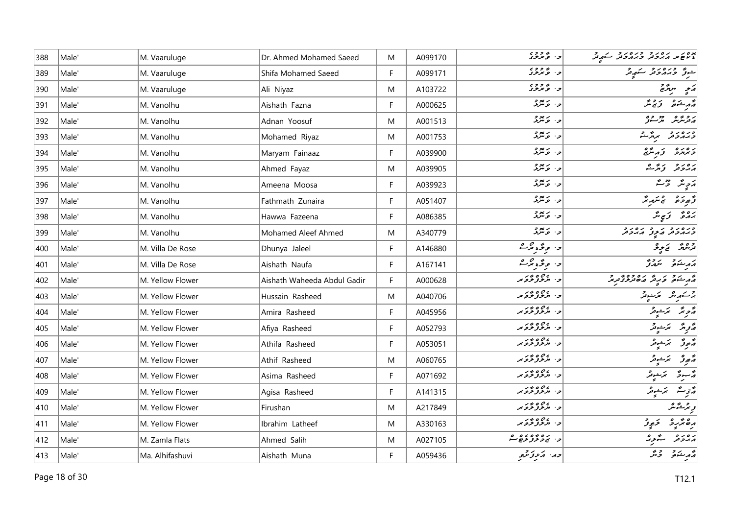| 388 | Male' | M. Vaaruluge     | Dr. Ahmed Mohamed Saeed     | M           | A099170 | و، ځه تروه                                          | بده بر برورد ورورد و کردگر                                                                    |
|-----|-------|------------------|-----------------------------|-------------|---------|-----------------------------------------------------|-----------------------------------------------------------------------------------------------|
| 389 | Male' | M. Vaaruluge     | <b>Shifa Mohamed Saeed</b>  | F           | A099171 | و به ووه<br>و گلمونوی                               | شوتو وره رو در کرده.<br>اسوتو وبرود کرده                                                      |
| 390 | Male' | M. Vaaruluge     | Ali Niyaz                   | M           | A103722 | و به ووه<br>و گامونوی                               | $rac{2}{5}$ $rac{1}{5}$                                                                       |
| 391 | Male' | M. Vanolhu       | Aishath Fazna               | F           | A000625 | و ، کویوو                                           | ە ئەستىق ئەتق                                                                                 |
| 392 | Male' | M. Vanolhu       | Adnan Yoosuf                | M           | A001513 | و . کو پیوو                                         | ן פישים ומפיק<br>הבתייתיות ותיי-ת                                                             |
| 393 | Male' | M. Vanolhu       | Mohamed Riyaz               | M           | A001753 | ر بر پرو<br>و ۱ توسرل                               | ورەرو بەرگە                                                                                   |
| 394 | Male' | M. Vanolhu       | Maryam Fainaaz              | F.          | A039900 | و . کو پیوو                                         | ومره ورشي                                                                                     |
| 395 | Male' | M. Vanolhu       | Ahmed Fayaz                 | M           | A039905 | و . کو پیوو                                         | رەرد رېژے                                                                                     |
| 396 | Male' | M. Vanolhu       | Ameena Moosa                | F           | A039923 | و . کو پیوو                                         | أرَوِيثر المحرْث                                                                              |
| 397 | Male' | M. Vanolhu       | Fathmath Zunaira            | F           | A051407 | و . کو پیوو                                         | وتجوحتم تمسكر                                                                                 |
| 398 | Male' | M. Vanolhu       | Hawwa Fazeena               | F           | A086385 | و . که پیوو                                         | رەم <sub>قە</sub> پر                                                                          |
| 399 | Male' | M. Vanolhu       | Mohamed Aleef Ahmed         | M           | A340779 | وسي مريوح                                           | ورەر دېر دېرد.<br>دېرماد مېږد مهادېر                                                          |
| 400 | Male' | M. Villa De Rose | Dhunya Jaleel               | F           | A146880 | ر· <sub>عر</sub> محْدِ بْرْ <sup>مْ</sup>           | ترىر پر سىم ئەرگ                                                                              |
| 401 | Male' | M. Villa De Rose | Aishath Naufa               | F           | A167141 | د· وِدُّوِيْرِ م                                    | أأمر يشكم المستمرقر                                                                           |
| 402 | Male' | M. Yellow Flower | Aishath Waheeda Abdul Gadir | F           | A000628 | و . گ <i>وه و و د</i> ر                             | <i>مگر ڪرم آهي آهي آهي ٿي ٿي.</i><br>1974ع جي سي آهي آهي آهي آهي.<br>1974ع جي سي آهي آهي آهي. |
| 403 | Male' | M. Yellow Flower | Hussain Rasheed             | M           | A040706 | و . گوه و د د کار<br>و . گرو توگو تو                |                                                                                               |
| 404 | Male' | M. Yellow Flower | Amira Rasheed               | F           | A045956 | ر ، موثوقر<br>د <i>. مرفوتوقر پ</i> ر               | د د مگر مگر شوند.<br>امرو مگر مگر مگر مگر                                                     |
| 405 | Male' | M. Yellow Flower | Afiya Rasheed               | F           | A052793 | ە بەرە <i>بەرى</i><br>د بىر قرقرىمى                 | د<br>م <i>گر مگر مگر مگر مگر</i>                                                              |
| 406 | Male' | M. Yellow Flower | Athifa Rasheed              | F           | A053051 | و . گەن <i>ەھەر</i>                                 | د د و مخ مورد.<br>م                                                                           |
| 407 | Male' | M. Yellow Flower | Athif Rasheed               | M           | A060765 | ر ، ۵۵۰ ور<br>د <i>. مروو وگ</i> ونر                | ر<br>مگهونی مرکبومر                                                                           |
| 408 | Male' | M. Yellow Flower | Asima Rasheed               | $\mathsf F$ | A071692 | ە 2000 كەرىر<br>تەسىر تۈگۈنى كىل                    | ۇجۇ ئەشەر                                                                                     |
| 409 | Male' | M. Yellow Flower | Agisa Rasheed               | F           | A141315 | ە ??? <i>ەر.</i><br>5 <sup>.</sup> م <i>ۈنۈ</i> تۈر | ە ئەيزىقىتى<br>مەنبەر<br>بمرشوقر                                                              |
| 410 | Male' | M. Yellow Flower | Firushan                    | M           | A217849 | و . گوه و د د کار<br>و . گرفرنوگونمو                | ې <sub>ر م</sub> ر <sub>م</sub> ثر مر                                                         |
| 411 | Male' | M. Yellow Flower | Ibrahim Latheef             | M           | A330163 | ە بەھ <i>ۋە ئەر</i>                                 | وه پر د ځور                                                                                   |
| 412 | Male' | M. Zamla Flats   | Ahmed Salih                 | M           | A027105 | ر ، ووه وه و ه                                      |                                                                                               |
| 413 | Male' | Ma. Alhifashuvi  | Aishath Muna                | E           | A059436 | در ۱۰ مروز تره                                      | أمار ويمرد والمحمد                                                                            |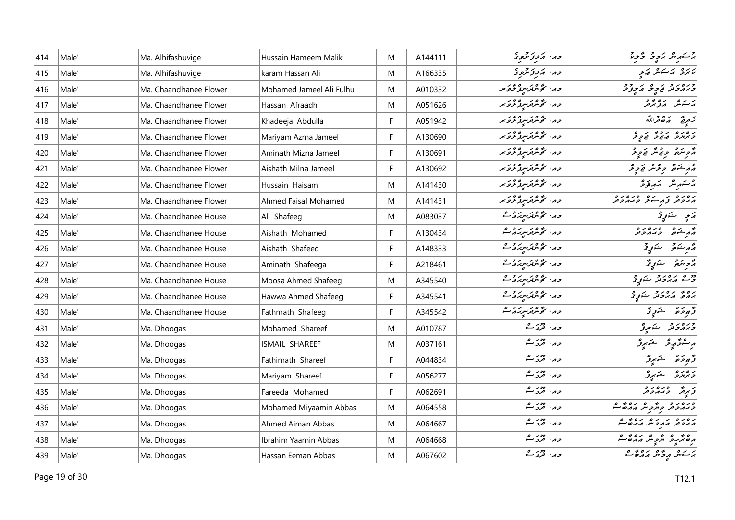| 414 | Male' | Ma. Alhifashuvige      | Hussain Hameem Malik     | M         | A144111 | وړ٠ مرّعرو ترو د                        | رجستهر بمريدة ومحورة                |
|-----|-------|------------------------|--------------------------|-----------|---------|-----------------------------------------|-------------------------------------|
| 415 | Male' | Ma. Alhifashuvige      | karam Hassan Ali         | M         | A166335 | وە بە ئوتۇنزە ئ                         | برره برسه و و                       |
| 416 | Male' | Ma. Chaandhanee Flower | Mohamed Jameel Ali Fulhu | ${\sf M}$ | A010332 | رە. ئۇشترىبرو <i>ۋە ب</i> ر             | ورەرو رو گەردۇ                      |
| 417 | Male' | Ma. Chaandhanee Flower | Hassan Afraadh           | M         | A051626 | دە. ئۇس ئىرىر بوگە ئە                   | برسەش ئەۋىترىتر                     |
| 418 | Male' | Ma. Chaandhanee Flower | Khadeeja Abdulla         | F         | A051942 | وە. ئۇس <i>قىرسو</i> ئۇتەبر             | تتعيق ضصمرالله                      |
| 419 | Male' | Ma. Chaandhanee Flower | Mariyam Azma Jameel      | F         | A130690 | دە. ئۇستىرسو ئەر                        | ג 200 גדור בקיב                     |
| 420 | Male' | Ma. Chaandhanee Flower | Aminath Mizna Jameel     | F         | A130691 | رە. ئۇش <i>كىرىنى ۋە ئ</i>              | أأوسكم وبالأباء والمحافية           |
| 421 | Male' | Ma. Chaandhanee Flower | Aishath Milna Jameel     | F         | A130692 | وە. ئۇس <i>قىرىنى</i> ئۇ <i>قە</i> بر   | أقهر خنفي وإقراق في وإقرا           |
| 422 | Male' | Ma. Chaandhanee Flower | Hussain Haisam           | M         | A141430 | دە. ئۇش <i>كىرىنى ۋە ئ</i> ە            | ج سەر شەر ئەر ئۇچ                   |
| 423 | Male' | Ma. Chaandhanee Flower | Ahmed Faisal Mohamed     | M         | A141431 | <i>دە. ئۇ</i> مۇترىيرۇ <i>ۋە ب</i> ر    | גם ג'ב צ'ק היה בג' ביביר ב          |
| 424 | Male' | Ma. Chaandhanee House  | Ali Shafeeg              | M         | A083037 | دە. ئۇشترىترىيرىدە م                    | أتكمح المشكورة                      |
| 425 | Male' | Ma. Chaandhanee House  | Aishath Mohamed          | F         | A130434 | در گا گار تر سر در د                    | و دره دره در در<br>در شومی در در در |
| 426 | Male' | Ma. Chaandhanee House  | Aishath Shafeeq          | F         | A148333 | ور به گور سرز د ه                       | وكركو كوتي                          |
| 427 | Male' | Ma. Chaandhanee House  | Aminath Shafeega         | F         | A218461 | ور گ <sup>ر</sup> گردگر سرگرفت          |                                     |
| 428 | Male' | Ma. Chaandhanee House  | Moosa Ahmed Shafeeg      | M         | A345540 | ور به گرمز مرکز در م                    | و مع برور و مندر و                  |
| 429 | Male' | Ma. Chaandhanee House  | Hawwa Ahmed Shafeeg      | F         | A345541 | <i>دە. ئۇ</i> مرىر <i>كىرىدى</i>        |                                     |
| 430 | Male' | Ma. Chaandhanee House  | Fathmath Shafeeg         | F         | A345542 | <i>دە. ئۇ</i> مكرىگرىيەركە <sup>م</sup> | ژَّڄِ دَمَ صَنَّ رِجْ               |
| 431 | Male' | Ma. Dhoogas            | Mohamed Shareef          | M         | A010787 | ود تری ک                                | ورەرو شىرو                          |
| 432 | Male' | Ma. Dhoogas            | ISMAIL SHAREEF           | M         | A037161 | وړ تري ک                                | بر شۇ يۇ ھەمبۇ                      |
| 433 | Male' | Ma. Dhoogas            | Fathimath Shareef        | F         | A044834 | وە بور ھ                                | ۇپ <sub>و</sub> دۇ خېرۇ             |
| 434 | Male' | Ma. Dhoogas            | Mariyam Shareef          | F         | A056277 | وړ ودر ه                                | رەرە شەرۋ                           |
| 435 | Male' | Ma. Dhoogas            | Fareeda Mohamed          | F         | A062691 | ود. تور م                               | توميتر ورودو                        |
| 436 | Male' | Ma. Dhoogas            | Mohamed Miyaamin Abbas   | M         | A064558 | وړ تري ک                                | כממכת כתבית גם בים                  |
| 437 | Male' | Ma. Dhoogas            | Ahmed Aiman Abbas        | M         | A064667 | وە بەدىر ھ                              | גם גב ג גם גם גם ב                  |
| 438 | Male' | Ma. Dhoogas            | Ibrahim Yaamin Abbas     | M         | A064668 | وړ ودر ه                                |                                     |
| 439 | Male' | Ma. Dhoogas            | Hassan Eeman Abbas       | ${\sf M}$ | A067602 | وړ ودر ه                                | بر بره روم بره می م                 |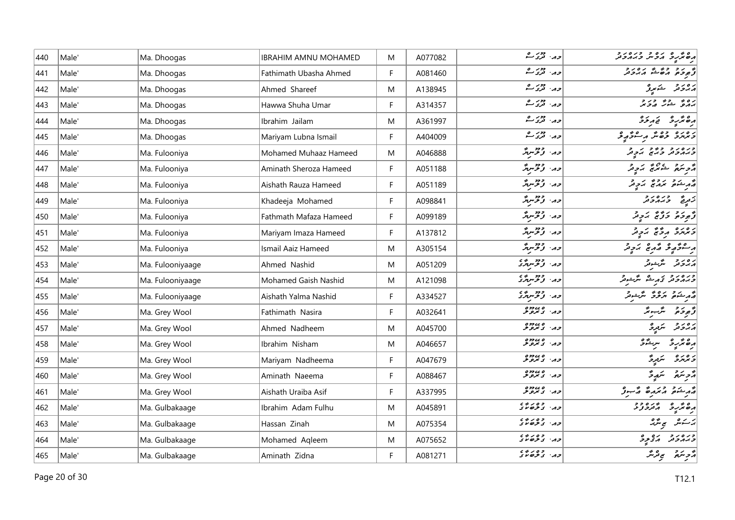| 440 | Male' | Ma. Dhoogas      | <b>IBRAHIM AMNU MOHAMED</b> | M         | A077082 | وە بەدىر ھ                                | ם מים מסיים מסיים<br>מסמקים מכית כממכת              |
|-----|-------|------------------|-----------------------------|-----------|---------|-------------------------------------------|-----------------------------------------------------|
| 441 | Male' | Ma. Dhoogas      | Fathimath Ubasha Ahmed      | F         | A081460 | وە بەدىر ھ                                | قرود ده شه ره د د                                   |
| 442 | Male' | Ma. Dhoogas      | Ahmed Shareef               | ${\sf M}$ | A138945 | وړ ودر ه                                  | پرورو شمیرو                                         |
| 443 | Male' | Ma. Dhoogas      | Hawwa Shuha Umar            | F         | A314357 | وە بور ھ                                  | رەم ئەر در د                                        |
| 444 | Male' | Ma. Dhoogas      | Ibrahim Jailam              | ${\sf M}$ | A361997 | وە بەدىر ھ                                | رە ئرىر ئىمرىز                                      |
| 445 | Male' | Ma. Dhoogas      | Mariyam Lubna Ismail        | F         | A404009 | وړ ودر ه                                  | رەرە دەپر مەدەپ                                     |
| 446 | Male' | Ma. Fulooniya    | Mohamed Muhaaz Hameed       | M         | A046888 | ور. وتوسیر                                | وره رو و و و مرد و                                  |
| 447 | Male' | Ma. Fulooniya    | Aminath Sheroza Hameed      | F         | A051188 | وړ ولوسو                                  | أأدوسها مشمر المستحيض                               |
| 448 | Male' | Ma. Fulooniya    | Aishath Rauza Hameed        | F         | A051189 | ور. وح <sup>و</sup> سر گر                 | م مشور برده برد و                                   |
| 449 | Male' | Ma. Fulooniya    | Khadeeja Mohamed            | F         | A098841 | وړ وتوسر                                  | ژمریځ وبره د و                                      |
| 450 | Male' | Ma. Fulooniya    | Fathmath Mafaza Hameed      | F         | A099189 | وړ ويوسر                                  | وٌ ووحد ووٌ يَا يَا يَا لِهِ مِنْ                   |
| 451 | Male' | Ma. Fulooniya    | Mariyam Imaza Hameed        | F         | A137812 | ورس ودوسر                                 | د ورو روځ ټروتر                                     |
| 452 | Male' | Ma. Fulooniya    | Ismail Aaiz Hameed          | M         | A305154 | בו. ציבייטק                               | ر عۇرپۇ شەرىج شوپۇ                                  |
| 453 | Male' | Ma. Fulooniyaage | Ahmed Nashid                | ${\sf M}$ | A051209 | כני "צ"כ ביי<br>כני "צ"כ בייט <i>יב</i> ב | رەرد شەر<br>مەردىر شەر                              |
| 454 | Male' | Ma. Fulooniyaage | Mohamed Gaish Nashid        | M         | A121098 | כני ציבייט <i>ב</i> י                     | ورەرو يېرىش ئىرىدىر                                 |
| 455 | Male' | Ma. Fulooniyaage | Aishath Yalma Nashid        | F         | A334527 | בו ציבייט <i>ב</i> י                      | د د شکاه اندازه از میشوند<br>انگار شکاه اندازه انگر |
| 456 | Male' | Ma. Grey Wool    | Fathimath Nasira            | F         | A032641 | ם המחכם<br>כחי "ז"אפי <del>ל</del>        | أرموخاه الترسونة                                    |
| 457 | Male' | Ma. Grey Wool    | Ahmed Nadheem               | ${\sf M}$ | A045700 | ם ג'ובדים<br>כחי "ז' ז'יפיב               | بر ه بر د<br>م <i>ر</i> بر <del>د</del> تر<br>سردرو |
| 458 | Male' | Ma. Grey Wool    | Ibrahim Nisham              | M         | A046657 | ם המככם<br>כחי "ז מפיכ                    | ەرھەترىر <sup>ى</sup><br>سريشگر                     |
| 459 | Male' | Ma. Grey Wool    | Mariyam Nadheema            | F         | A047679 | ם שמכרים<br>כחי "ז מפיצי                  | ر ه ر ه<br><del>ر</del> بربر د<br>سكيرو             |
| 460 | Male' | Ma. Grey Wool    | Aminath Naeema              | F         | A088467 | ם המככם<br>כנמו - ז' מפיידים              | سكەپە ق<br>ړ په سرچ                                 |
| 461 | Male' | Ma. Grey Wool    | Aishath Uraiba Asif         | F         | A337995 | ם המככם<br>כחי "ז מפיכ                    | התשים התתם היינ                                     |
| 462 | Male' | Ma. Gulbakaage   | Ibrahim Adam Fulhu          | M         | A045891 | c s v o s<br>s v o s s · n s              | دە ئ <sup>ۆرۈ</sup><br>پر ده و و<br>پر تر پر تر     |
| 463 | Male' | Ma. Gulbakaage   | Hassan Zinah                | M         | A075354 | כו - 2005<br>הרי גיש מיצ                  | برسەنقلار سې ئىگەنلە                                |
| 464 | Male' | Ma. Gulbakaage   | Mohamed Aqleem              | M         | A075652 | כו - 2005<br>2005 - 20                    | و ر ه ر د<br>تر پر ژ تر<br>برجوجر                   |
| 465 | Male' | Ma. Gulbakaage   | Aminath Zidna               | F         | A081271 | כו - 2005<br>הרי הבסטיב                   | أثرجر ستعجم بمحر يتمر                               |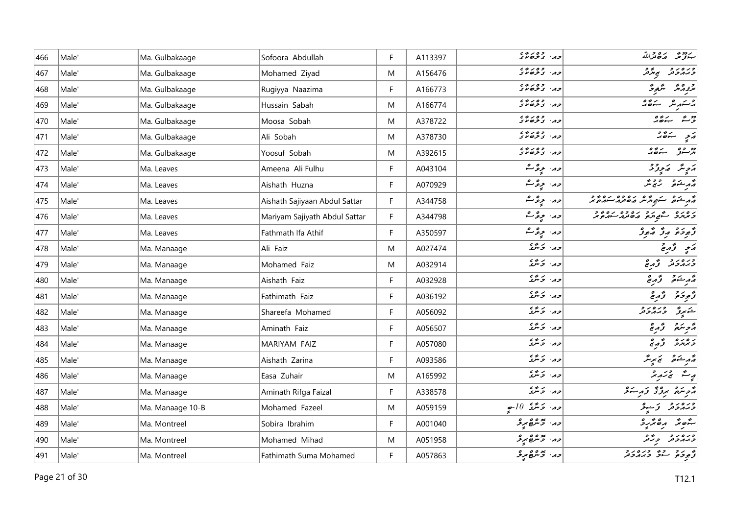| 466 | Male' | Ma. Gulbakaage   | Sofoora Abdullah              | F           | A113397 | $50000 - 1000$                | جة ديم وه ترالله                                                   |
|-----|-------|------------------|-------------------------------|-------------|---------|-------------------------------|--------------------------------------------------------------------|
| 467 | Male' | Ma. Gulbakaage   | Mohamed Ziyad                 | M           | A156476 | כו - 2005 בי<br>הרי גיד שיצ   | و ر ه ر و<br>تر بر بر تر<br>سم پڑوڑ                                |
| 468 | Male' | Ma. Gulbakaage   | Rugiyya Naazima               | $\mathsf F$ | A166773 | כו בסקים<br>כו ב <b>ב</b> סטב | سَّرْمُ رَّ<br>  تر تو مر مر<br>  تر تو مر مر                      |
| 469 | Male' | Ma. Gulbakaage   | Hussain Sabah                 | M           | A166774 | $50000 - 1000$                | جر شهر شهر بروه به                                                 |
| 470 | Male' | Ma. Gulbakaage   | Moosa Sobah                   | M           | A378722 | כני ציפטילי<br>כני ציבים מיצ  | در شه به ده بر                                                     |
| 471 | Male' | Ma. Gulbakaage   | Ali Sobah                     | M           | A378730 | $50000 - 1000$                |                                                                    |
| 472 | Male' | Ma. Gulbakaage   | Yoosuf Sobah                  | M           | A392615 | כו - 2005<br>הרי גיש מיצ      | بەھ<br>دد و ه<br>در سور                                            |
| 473 | Male' | Ma. Leaves       | Ameena Ali Fulhu              | $\mathsf F$ | A043104 | ادر. موه ه<br>——              | أرْجِسٌ أَرْجَزُ وَ                                                |
| 474 | Male' | Ma. Leaves       | Aishath Huzna                 | F           | A070929 | دە. بېۋىشە                    | ۇرمىنى ئىق ئى                                                      |
| 475 | Male' | Ma. Leaves       | Aishath Sajiyaan Abdul Sattar | F           | A344758 | دە. بېۋىشە                    |                                                                    |
| 476 | Male' | Ma. Leaves       | Mariyam Sajiyath Abdul Sattar | F           | A344798 | ادر دومة                      | ג סגם ניי ג כ גם כם גם זיכי.<br>בינות כ - היפותם ומסינות - יותם זו |
| 477 | Male' | Ma. Leaves       | Fathmath Ifa Athif            | F           | A350597 | در د ده ش                     | وجوده مرو مجوو                                                     |
| 478 | Male' | Ma. Manaage      | Ali Faiz                      | M           | A027474 | وړ کري                        | أتذبح وتحرج                                                        |
| 479 | Male' | Ma. Manaage      | Mohamed Faiz                  | M           | A032914 | وړ کرمړي                      | وره رو و و                                                         |
| 480 | Male' | Ma. Manaage      | Aishath Faiz                  | F           | A032928 | وړ کريږي                      | أشهر مشتمر وتحرم                                                   |
| 481 | Male' | Ma. Manaage      | Fathimath Faiz                | F           | A036192 | وړ کري                        | وٌوده وٌدع                                                         |
| 482 | Male' | Ma. Manaage      | Shareefa Mohamed              | F           | A056092 | وړ کري                        | و ره ر و<br><i>و ټ</i> رو تر<br> شەمرۇ                             |
| 483 | Male' | Ma. Manaage      | Aminath Faiz                  | F           | A056507 | وړ کرندی                      | ومحر سنتمر ومحرم                                                   |
| 484 | Male' | Ma. Manaage      | MARIYAM FAIZ                  | F           | A057080 | وړ کري                        | ر ه ر ه<br><del>ر</del> بربرگ<br>ترٌمِ ج                           |
| 485 | Male' | Ma. Manaage      | Aishath Zarina                | $\mathsf F$ | A093586 | وړ کري                        | ۇرمۇق تمېرىگ                                                       |
| 486 | Male' | Ma. Manaage      | Easa Zuhair                   | M           | A165992 | وړ کري                        | ر شهر محمد ترکم میکر                                               |
| 487 | Male' | Ma. Manaage      | Aminath Rifga Faizal          | $\mathsf F$ | A338578 | وړ کر ش                       | أدوسم برؤد ورباد                                                   |
| 488 | Male' | Ma. Manaage 10-B | Mohamed Fazeel                | M           | A059159 | حەر، ئەنگە 10-ھ               | ورەرو تەسو                                                         |
| 489 | Male' | Ma. Montreel     | Sobira Ibrahim                | F           | A001040 | ر<br>در وسرچ پرېژ             | $\frac{1}{2}$                                                      |
| 490 | Male' | Ma. Montreel     | Mohamed Mihad                 | M           | A051958 | ٦٦٠ - جرموم برو               | ورەر د دېر                                                         |
| 491 | Male' | Ma. Montreel     | Fathimath Suma Mohamed        | F           | A057863 | ور. بره وه برو                | و د د د دره در د                                                   |
|     |       |                  |                               |             |         |                               |                                                                    |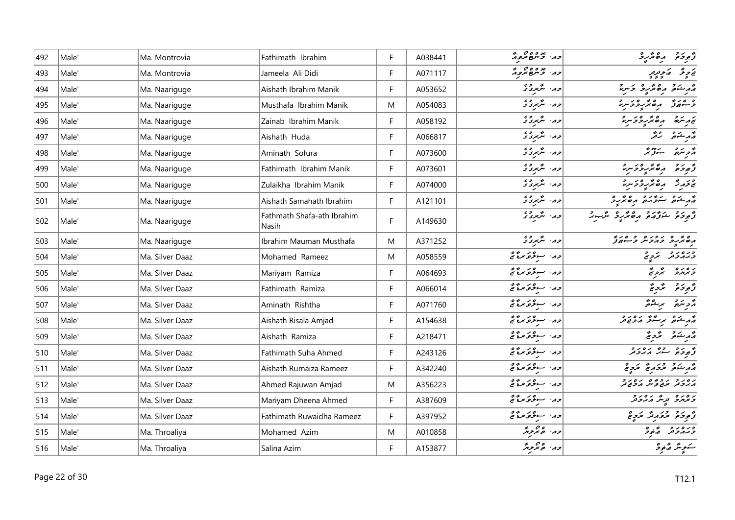| 492 | Male' | Ma. Montrovia   | Fathimath Ibrahim                   | F         | A038441 | בגי ביתפית בי           | أوجوحه مصريره                                                   |
|-----|-------|-----------------|-------------------------------------|-----------|---------|-------------------------|-----------------------------------------------------------------|
| 493 | Male' | Ma. Montrovia   | Jameela Ali Didi                    | F         | A071117 | בגי ביתפיתפה            | تح ورقت الكامونونور                                             |
| 494 | Male' | Ma. Naariguge   | Aishath Ibrahim Manik               | F         | A053652 | وړ٠ سربرو د             | התשים תשתיים ביתי                                               |
| 495 | Male' | Ma. Naariguge   | Musthafa Ibrahim Manik              | M         | A054083 | وړ٠ سرگرو د             | د په پروګر<br>د سرچونو<br>ە ھەترىر 25 مىرىد <sup>ە</sup>        |
| 496 | Male' | Ma. Naariguge   | Zainab Ibrahim Manik                | F         | A058192 | وړ٠ سرچري               | ם מי מי פי יידיע<br>מים מאמר ב<br>تأمر سكرة                     |
| 497 | Male' | Ma. Naariguge   | Aishath Huda                        | F         | A066817 | در شهره                 | رژگر<br>ومرمضتمو                                                |
| 498 | Male' | Ma. Naariguge   | Aminath Sofura                      | F         | A073600 | وړ٠ سر <sub>مرۍ د</sub> | سە قرىتىر<br>أرمر برد                                           |
| 499 | Male' | Ma. Naariguge   | Fathimath Ibrahim Manik             | F         | A073601 | ور گروه                 | ە ھەمئە يەدىرىدە<br>م<br>و څو څه د                              |
| 500 | Male' | Ma. Naariguge   | Zulaikha Ibrahim Manik              | F         | A074000 | در سمبرده               | ە ھەترىر 3 كەرر<br>رەھ تەرىخ 2 كىرىنا<br>چ ئۇ م <sup>ەش</sup> ر |
| 501 | Male' | Ma. Naariguge   | Aishath Samahath Ibrahim            | F         | A121101 | دە. ئېرىدى              |                                                                 |
| 502 | Male' | Ma. Naariguge   | Fathmath Shafa-ath Ibrahim<br>Nasih | F         | A149630 | دە. ئېرىدى              | وجوده بادرد ره در شهرد                                          |
| 503 | Male' | Ma. Naariguge   | Ibrahim Mauman Musthafa             | M         | A371252 | دە. ئېرىدى              |                                                                 |
| 504 | Male' | Ma. Silver Daaz | Mohamed Rameez                      | M         | A058559 | حەر، سوۋە ئەنگى         | ورورو تردح                                                      |
| 505 | Male' | Ma. Silver Daaz | Mariyam Ramiza                      | F         | A064693 | ادر سوء مديح            | ر ه ر ه<br><del>ر</del> بربر ژ<br>پر د <sup>ي</sup>             |
| 506 | Male' | Ma. Silver Daaz | Fathimath Ramiza                    | F         | A066014 |                         | ۇ بوخ تو<br>برٌّريٌّ                                            |
| 507 | Male' | Ma. Silver Daaz | Aminath Rishtha                     | F         | A071760 |                         | و سره مرشوم                                                     |
| 508 | Male' | Ma. Silver Daaz | Aishath Risala Amjad                | F         | A154638 | دە سوۋە ئەققى           | ەر ئىكىمى ئىمرىكى ئىلىمى ھەر ج                                  |
| 509 | Male' | Ma. Silver Daaz | Aishath Ramiza                      | F         | A218471 | در. سرگرو برگام<br>م    | أقدم يترويح                                                     |
| 510 | Male' | Ma. Silver Daaz | Fathimath Suha Ahmed                | F         | A243126 | ور. سرقره برومچ         | و دو دو ده دود                                                  |
| 511 | Male' | Ma. Silver Daaz | Aishath Rumaiza Rameez              | F         | A342240 | <i>دە. سوۋى</i> رۇم     | وكرمشو بردرة بردع                                               |
| 512 | Male' | Ma. Silver Daaz | Ahmed Rajuwan Amjad                 | ${\sf M}$ | A356223 | ور. سوۋە ئەنگى          |                                                                 |
| 513 | Male' | Ma. Silver Daaz | Mariyam Dheena Ahmed                | F         | A387609 | ور. سوؤوسونامج          | د وړه وړش ټره د د                                               |
| 514 | Male' | Ma. Silver Daaz | Fathimath Ruwaidha Rameez           | F         | A397952 | ور. سوۋە ئەنى           | أزموده مرعد ترديح                                               |
| 515 | Male' | Ma. Throaliya   | Mohamed Azim                        | M         | A010858 | בו כל הקה               | وره رو و و                                                      |
| 516 | Male' | Ma. Throaliya   | Salina Azim                         | F         | A153877 | ادر وحمور               | سەمەتىر ەئىمۇق                                                  |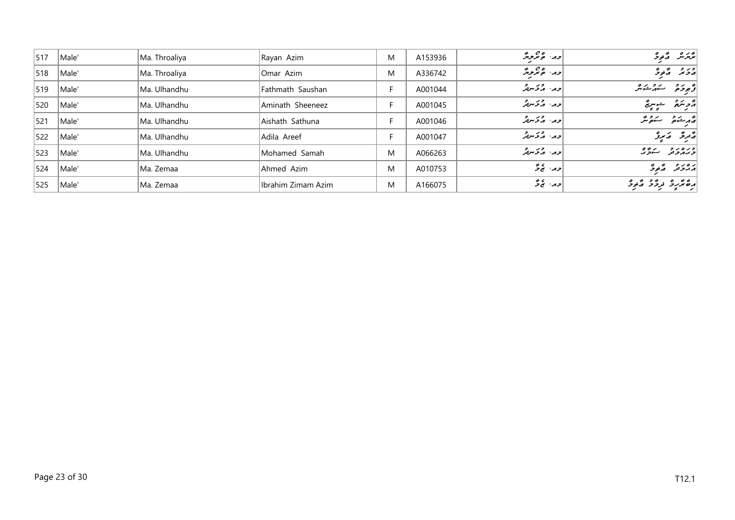| 517 | Male'        | Ma. Throaliya | Rayan Azim          | M | A153936 | در. ویمورگر    | پر پر می شرق و                                                                                                                                                                                                                                                                                                              |
|-----|--------------|---------------|---------------------|---|---------|----------------|-----------------------------------------------------------------------------------------------------------------------------------------------------------------------------------------------------------------------------------------------------------------------------------------------------------------------------|
| 518 | Male'        | Ma. Throaliya | Omar Azim           | M | A336742 | در ومردر       | $\begin{vmatrix} 0 & 0 & 0 & 0 & 0 \\ 0 & 0 & 0 & 0 & 0 \\ 0 & 0 & 0 & 0 & 0 \\ 0 & 0 & 0 & 0 & 0 \\ 0 & 0 & 0 & 0 & 0 \\ 0 & 0 & 0 & 0 & 0 \\ 0 & 0 & 0 & 0 & 0 \\ 0 & 0 & 0 & 0 & 0 \\ 0 & 0 & 0 & 0 & 0 \\ 0 & 0 & 0 & 0 & 0 \\ 0 & 0 & 0 & 0 & 0 & 0 \\ 0 & 0 & 0 & 0 & 0 & 0 \\ 0 & 0 & 0 & 0 & 0 & 0 \\ 0 & 0 & 0 & $ |
| 519 | Male'        | Ma. Ulhandhu  | Fathmath Saushan    |   | A001044 | כו. הציעה      | ق دو سکره شکس                                                                                                                                                                                                                                                                                                               |
| 520 | Male'        | Ma. Ulhandhu  | Aminath Sheeneez    |   | A001045 | وړ . مرکز سرچر | أزجر سكرة مستشفين                                                                                                                                                                                                                                                                                                           |
| 521 | Male'        | Ma. Ulhandhu  | lAishath Sathuna    |   | A001046 | وړ . مرکز سرچر | لەر ئىسكە ئەسكە ئىس                                                                                                                                                                                                                                                                                                         |
| 522 | Male'        | Ma. Ulhandhu  | Adila Areef         |   | A001047 | כו. הציעה      | ە تىرقى كەيدى                                                                                                                                                                                                                                                                                                               |
| 523 | Male'        | Ma. Ulhandhu  | Mohamed Samah       | M | A066263 | وړ . مرکز سرچر | ورەرو بەرە                                                                                                                                                                                                                                                                                                                  |
| 524 | Male'        | Ma. Zemaa     | Ahmed Azim          | M | A010753 | وړ ځو          | دەرو ھەر                                                                                                                                                                                                                                                                                                                    |
| 525 | <i>Male'</i> | Ma. Zemaa     | Ilbrahim Zimam Azim | M | A166075 | وړ ځو          | أرە ئەرە ئەردى ئەرە                                                                                                                                                                                                                                                                                                         |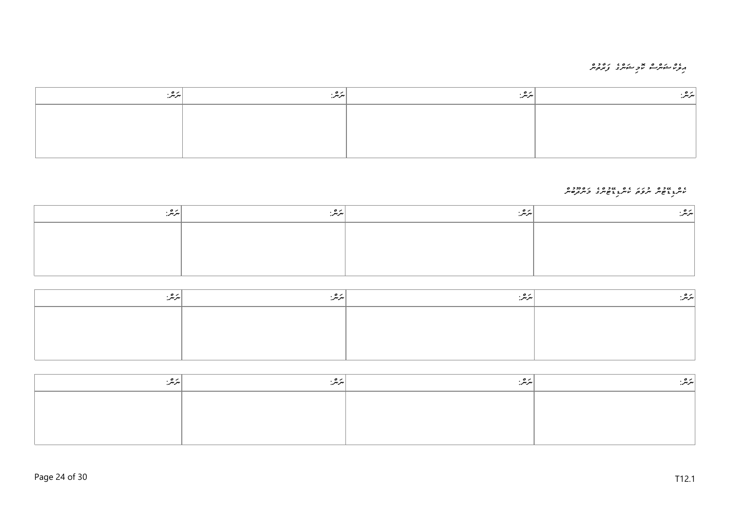## *w7qAn8m? sCw7mRo>u; wEw7mRw;sBo<*

| ' مرمر | 'يئرىثر: |
|--------|----------|
|        |          |
|        |          |
|        |          |

## *w7q9r@w7m> sCw7qHtFoFw7s; mAm=q7 w7qHtFoFw7s;*

| يئرمىش: | $^{\circ}$<br>. سر سر<br>$\cdot$ | $\circ$ $\sim$<br>-- | يئرمثر |
|---------|----------------------------------|----------------------|--------|
|         |                                  |                      |        |
|         |                                  |                      |        |
|         |                                  |                      |        |

| $\frac{2}{n}$ | $\overline{\phantom{a}}$ | اير هنه. | $\mathcal{O} \times$<br>سرسر |
|---------------|--------------------------|----------|------------------------------|
|               |                          |          |                              |
|               |                          |          |                              |
|               |                          |          |                              |

| ىرتىر: | 。<br>سر سر | .,<br>مرسر |
|--------|------------|------------|
|        |            |            |
|        |            |            |
|        |            |            |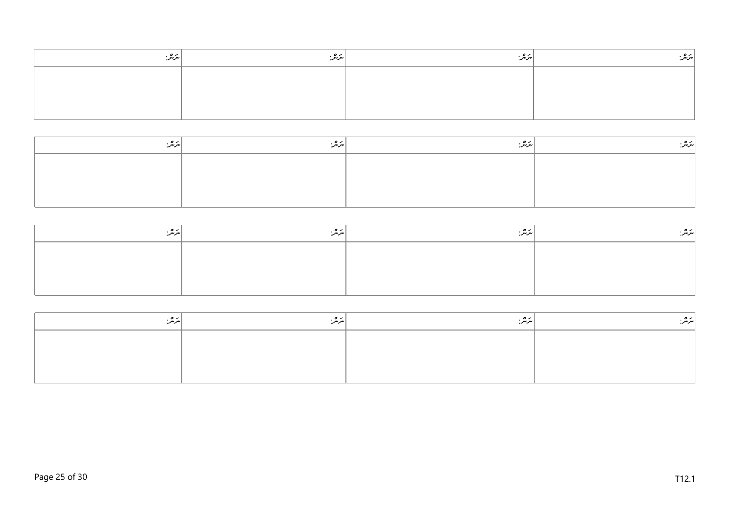| يزهر | $^{\circ}$ | ىئرىتر: |  |
|------|------------|---------|--|
|      |            |         |  |
|      |            |         |  |
|      |            |         |  |

| <sup>.</sup> سرسر. |  |
|--------------------|--|
|                    |  |
|                    |  |
|                    |  |

| ىرتىر: | $\sim$ | ا بر هه. | لىرىش |
|--------|--------|----------|-------|
|        |        |          |       |
|        |        |          |       |
|        |        |          |       |

| 。<br>مرس. | $\overline{\phantom{a}}$<br>مر سر | يتريثر |
|-----------|-----------------------------------|--------|
|           |                                   |        |
|           |                                   |        |
|           |                                   |        |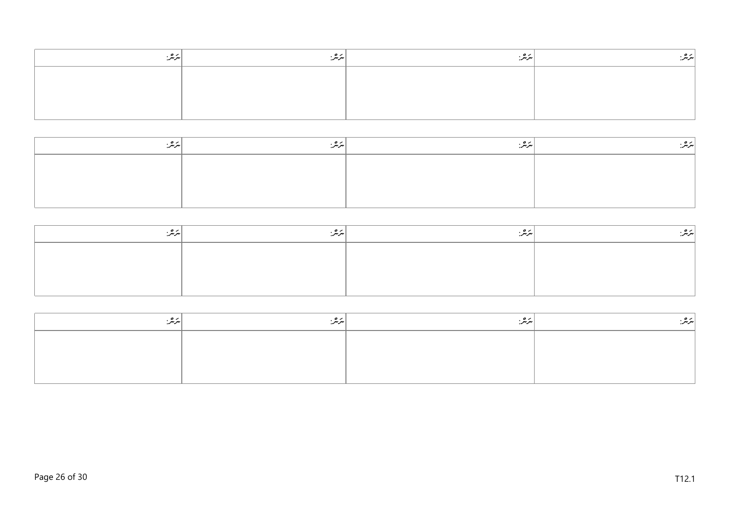| ير هو . | $\overline{\phantom{a}}$ | يرمر | اير هنه. |
|---------|--------------------------|------|----------|
|         |                          |      |          |
|         |                          |      |          |
|         |                          |      |          |

| ىر تىر: | $\circ$ $\sim$<br>" سرسر . | يبرحه | o . |
|---------|----------------------------|-------|-----|
|         |                            |       |     |
|         |                            |       |     |
|         |                            |       |     |

| كترنثر: | 。 | 。<br>سرسر. | o <i>~</i> |
|---------|---|------------|------------|
|         |   |            |            |
|         |   |            |            |
|         |   |            |            |

|  | . ه |
|--|-----|
|  |     |
|  |     |
|  |     |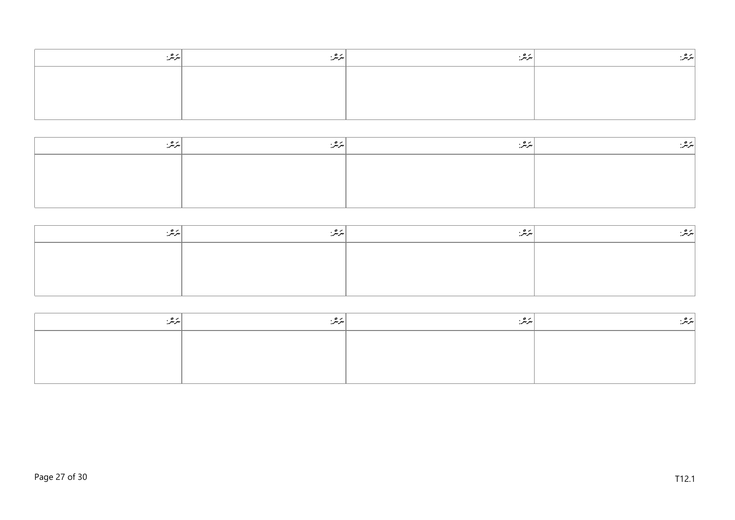| ير هو . | $\overline{\phantom{a}}$ | يرمر | اير هنه. |
|---------|--------------------------|------|----------|
|         |                          |      |          |
|         |                          |      |          |
|         |                          |      |          |

| ئىرتىر: | $\sim$<br>ا سرسر . | يئرمثر | o . |
|---------|--------------------|--------|-----|
|         |                    |        |     |
|         |                    |        |     |
|         |                    |        |     |

| كترنثر: | 。 | 。<br>سرسر. | o <i>~</i> |
|---------|---|------------|------------|
|         |   |            |            |
|         |   |            |            |
|         |   |            |            |

|  | . ه |
|--|-----|
|  |     |
|  |     |
|  |     |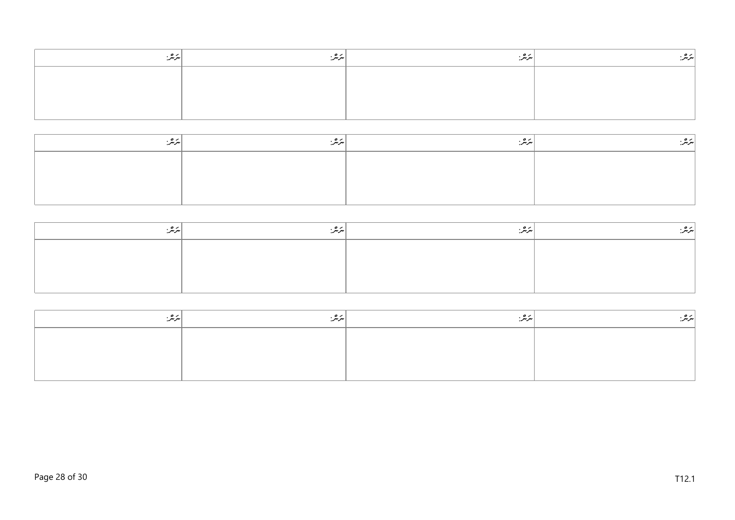| $\cdot$ | ο. | $\frac{\circ}{\cdot}$ | $\sim$<br>سرسر |
|---------|----|-----------------------|----------------|
|         |    |                       |                |
|         |    |                       |                |
|         |    |                       |                |

| يريثن | ' سرسر . |  |
|-------|----------|--|
|       |          |  |
|       |          |  |
|       |          |  |

| بر ه | 。 | $\sim$<br>َ سومس |  |
|------|---|------------------|--|
|      |   |                  |  |
|      |   |                  |  |
|      |   |                  |  |

| 。<br>. س | ىرىىر |  |
|----------|-------|--|
|          |       |  |
|          |       |  |
|          |       |  |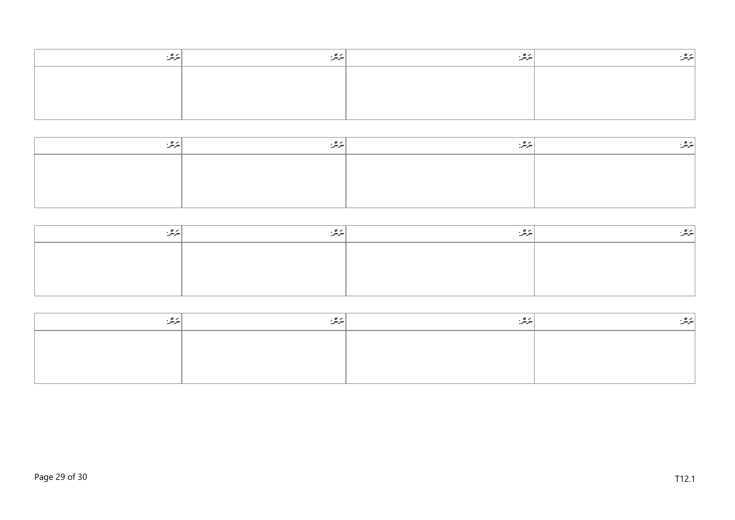| ير هو . | $\overline{\phantom{a}}$ | يرمر | لتزمثن |
|---------|--------------------------|------|--------|
|         |                          |      |        |
|         |                          |      |        |
|         |                          |      |        |

| ىر تىر: | $\circ$ $\sim$<br>" سرسر . | يبرحه | o . |
|---------|----------------------------|-------|-----|
|         |                            |       |     |
|         |                            |       |     |
|         |                            |       |     |

| 'تترنثر: | 。<br>,,,, |  |
|----------|-----------|--|
|          |           |  |
|          |           |  |
|          |           |  |

|  | . ه |
|--|-----|
|  |     |
|  |     |
|  |     |